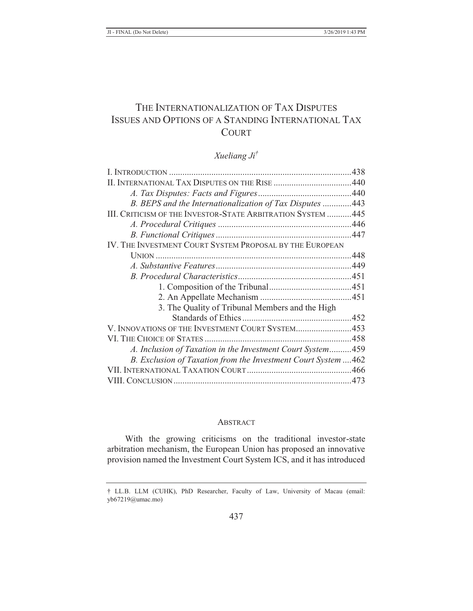# THE INTERNATIONALIZATION OF TAX DISPUTES ISSUES AND OPTIONS OF A STANDING INTERNATIONAL TAX **COURT**

## *Xueliang Ji†*

| II. INTERNATIONAL TAX DISPUTES ON THE RISE 440                 |  |
|----------------------------------------------------------------|--|
|                                                                |  |
| B. BEPS and the Internationalization of Tax Disputes  443      |  |
| III. CRITICISM OF THE INVESTOR-STATE ARBITRATION SYSTEM  445   |  |
|                                                                |  |
|                                                                |  |
| IV. THE INVESTMENT COURT SYSTEM PROPOSAL BY THE EUROPEAN       |  |
|                                                                |  |
|                                                                |  |
|                                                                |  |
|                                                                |  |
|                                                                |  |
| 3. The Quality of Tribunal Members and the High                |  |
|                                                                |  |
| V. INNOVATIONS OF THE INVESTMENT COURT SYSTEM453               |  |
|                                                                |  |
| A. Inclusion of Taxation in the Investment Court System459     |  |
| B. Exclusion of Taxation from the Investment Court System  462 |  |
|                                                                |  |
|                                                                |  |

#### **ABSTRACT**

With the growing criticisms on the traditional investor-state arbitration mechanism, the European Union has proposed an innovative provision named the Investment Court System ICS, and it has introduced

<sup>†</sup> LL.B. LLM (CUHK), PhD Researcher, Faculty of Law, University of Macau (email: yb67219@umac.mo)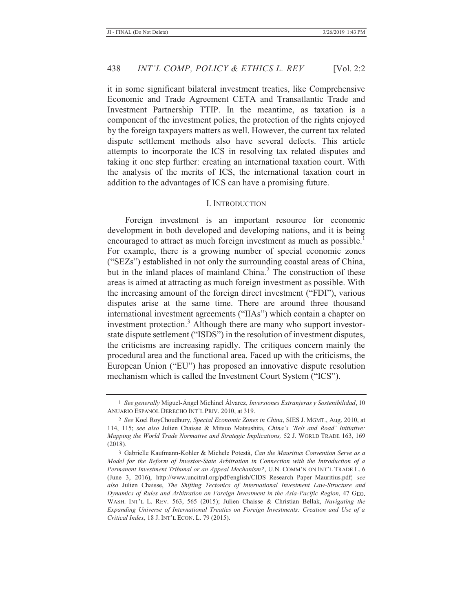it in some significant bilateral investment treaties, like Comprehensive Economic and Trade Agreement CETA and Transatlantic Trade and Investment Partnership TTIP. In the meantime, as taxation is a component of the investment polies, the protection of the rights enjoyed by the foreign taxpayers matters as well. However, the current tax related dispute settlement methods also have several defects. This article attempts to incorporate the ICS in resolving tax related disputes and taking it one step further: creating an international taxation court. With the analysis of the merits of ICS, the international taxation court in addition to the advantages of ICS can have a promising future.

#### I. INTRODUCTION

Foreign investment is an important resource for economic development in both developed and developing nations, and it is being encouraged to attract as much foreign investment as much as possible.<sup>1</sup> For example, there is a growing number of special economic zones ("SEZs") established in not only the surrounding coastal areas of China, but in the inland places of mainland China.<sup>2</sup> The construction of these areas is aimed at attracting as much foreign investment as possible. With the increasing amount of the foreign direct investment ("FDI"), various disputes arise at the same time. There are around three thousand international investment agreements ("IIAs") which contain a chapter on investment protection.<sup>3</sup> Although there are many who support investorstate dispute settlement ("ISDS") in the resolution of investment disputes, the criticisms are increasing rapidly. The critiques concern mainly the procedural area and the functional area. Faced up with the criticisms, the European Union ("EU") has proposed an innovative dispute resolution mechanism which is called the Investment Court System ("ICS").

<sup>1</sup> *See generally* Miguel-Ángel Michinel Álvarez, *Inversiones Extranjeras y Sostenibilidad*, 10 ANUARIO ESPANOL DERECHO INT'L PRIV. 2010, at 319.

<sup>2</sup> *See* Koel RoyChoudhury, *Special Economic Zones in China*, SIES J. MGMT., Aug. 2010, at 114, 115; *see also* Julien Chaisse & Mitsuo Matsushita, *China's 'Belt and Road' Initiative: Mapping the World Trade Normative and Strategic Implications,* 52 J. WORLD TRADE 163, 169 (2018).

<sup>3</sup> Gabrielle Kaufmann-Kohler & Michele Potestà, *Can the Mauritius Convention Serve as a Model for the Reform of Investor-State Arbitration in Connection with the Introduction of a Permanent Investment Tribunal or an Appeal Mechanism?*, U.N. COMM'N ON INT'L TRADE L. 6 (June 3, 2016), http://www.uncitral.org/pdf/english/CIDS\_Research\_Paper\_Mauritius.pdf; *see also* Julien Chaisse, *The Shifting Tectonics of International Investment Law-Structure and Dynamics of Rules and Arbitration on Foreign Investment in the Asia-Pacific Region,* 47 GEO. WASH. INT'L L. REV. 563, 565 (2015); Julien Chaisse & Christian Bellak, *Navigating the Expanding Universe of International Treaties on Foreign Investments: Creation and Use of a Critical Index*, 18 J. INT'L ECON. L. 79 (2015).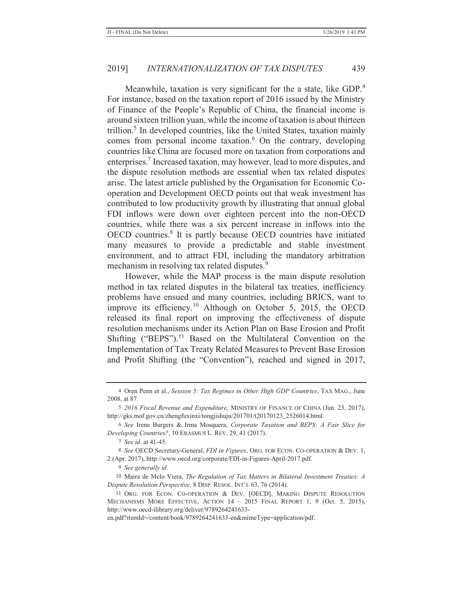Meanwhile, taxation is very significant for the a state, like GDP.<sup>4</sup> For instance, based on the taxation report of 2016 issued by the Ministry of Finance of the People's Republic of China, the financial income is around sixteen trillion yuan, while the income of taxation is about thirteen trillion.<sup>5</sup> In developed countries, like the United States, taxation mainly comes from personal income taxation.<sup>6</sup> On the contrary, developing countries like China are focused more on taxation from corporations and enterprises.<sup>7</sup> Increased taxation, may however, lead to more disputes, and the dispute resolution methods are essential when tax related disputes arise. The latest article published by the Organisation for Economic Cooperation and Development OECD points out that weak investment has contributed to low productivity growth by illustrating that annual global FDI inflows were down over eighteen percent into the non-OECD countries, while there was a six percent increase in inflows into the OECD countries.<sup>8</sup> It is partly because OECD countries have initiated many measures to provide a predictable and stable investment environment, and to attract FDI, including the mandatory arbitration mechanism in resolving tax related disputes.<sup>9</sup>

However, while the MAP process is the main dispute resolution method in tax related disputes in the bilateral tax treaties, inefficiency problems have ensued and many countries, including BRICS, want to improve its efficiency.<sup>10</sup> Although on October 5, 2015, the OECD released its final report on improving the effectiveness of dispute resolution mechanisms under its Action Plan on Base Erosion and Profit Shifting ("BEPS").<sup>11</sup> Based on the Multilateral Convention on the Implementation of Tax Treaty Related Measures to Prevent Base Erosion and Profit Shifting (the "Convention"), reached and signed in 2017,

en.pdf?itemId=/content/book/9789264241633-en&mimeType=application/pdf.

<sup>4</sup> Oren Penn et al., *Session 5: Tax Regimes in Other High GDP Countries*, TAX MAG., June 2008, at 87.

<sup>5</sup> *2016 Fiscal Revenue and Expenditure,* MINISTRY OF FINANCE OF CHINA (Jan. 23, 2017), http://gks.mof.gov.cn/zhengfuxinxi/tongjishuju/201701/t20170123\_2526014.html.

<sup>6</sup> *See* Irene Burgers & Irma Mosquera, *Corporate Taxation and BEPS: A Fair Slice for Developing Countries?*, 10 ERASMUS L. REV. 29, 41 (2017).

<sup>7</sup> *See id*. at 41-45.

<sup>8</sup> *See* OECD Secretary-General, *FDI in Figures*, ORG. FOR ECON. CO-OPERATION & DEV. 1, 2 (Apr. 2017), http://www.oecd.org/corporate/FDI-in-Figures-April-2017.pdf.

<sup>9</sup> *See generally id.*

<sup>10</sup> Maira de Melo Viera, *The Regulation of Tax Matters in Bilateral Investment Treaties: A Dispute Resolution Perspective,* 8 DISP. RESOL. INT'L 63, 76 (2014).

<sup>11</sup> ORG. FOR ECON. CO-OPERATION & DEV. [OECD], MAKING DISPUTE RESOLUTION MECHANISMS MORE EFFECTIVE, ACTION 14 – 2015 FINAL REPORT 1, 9 (Oct. 5, 2015), http://www.oecd-ilibrary.org/deliver/9789264241633-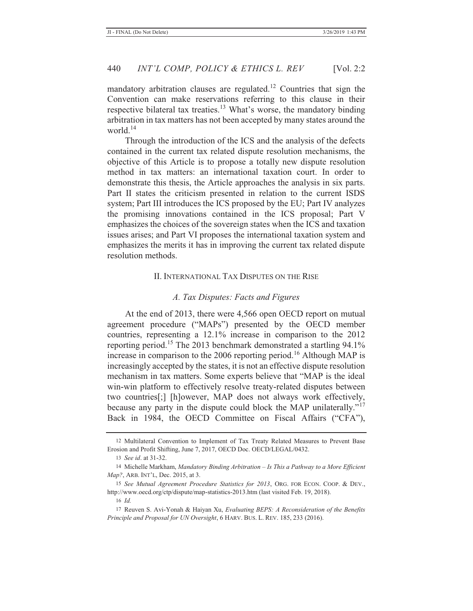mandatory arbitration clauses are regulated.<sup>12</sup> Countries that sign the Convention can make reservations referring to this clause in their respective bilateral tax treaties.<sup>13</sup> What's worse, the mandatory binding arbitration in tax matters has not been accepted by many states around the world.14

Through the introduction of the ICS and the analysis of the defects contained in the current tax related dispute resolution mechanisms, the objective of this Article is to propose a totally new dispute resolution method in tax matters: an international taxation court. In order to demonstrate this thesis, the Article approaches the analysis in six parts. Part II states the criticism presented in relation to the current ISDS system; Part III introduces the ICS proposed by the EU; Part IV analyzes the promising innovations contained in the ICS proposal; Part V emphasizes the choices of the sovereign states when the ICS and taxation issues arises; and Part VI proposes the international taxation system and emphasizes the merits it has in improving the current tax related dispute resolution methods.

## II. INTERNATIONAL TAX DISPUTES ON THE RISE

#### *A. Tax Disputes: Facts and Figures*

At the end of 2013, there were 4,566 open OECD report on mutual agreement procedure ("MAPs") presented by the OECD member countries, representing a 12.1% increase in comparison to the 2012 reporting period.<sup>15</sup> The 2013 benchmark demonstrated a startling 94.1% increase in comparison to the  $2006$  reporting period.<sup>16</sup> Although MAP is increasingly accepted by the states, it is not an effective dispute resolution mechanism in tax matters. Some experts believe that "MAP is the ideal win-win platform to effectively resolve treaty-related disputes between two countries[;] [h]owever, MAP does not always work effectively, because any party in the dispute could block the MAP unilaterally."<sup>17</sup> Back in 1984, the OECD Committee on Fiscal Affairs ("CFA"),

<sup>12</sup> Multilateral Convention to Implement of Tax Treaty Related Measures to Prevent Base Erosion and Profit Shifting, June 7, 2017, OECD Doc. OECD/LEGAL/0432.

<sup>13</sup> *See id*. at 31-32.

<sup>14</sup> Michelle Markham, *Mandatory Binding Arbitration – Is This a Pathway to a More Efficient Map?*, ARB. INT'L, Dec. 2015, at 3.

<sup>15</sup> *See Mutual Agreement Procedure Statistics for 2013*, ORG. FOR ECON. COOP. & DEV., http://www.oecd.org/ctp/dispute/map-statistics-2013.htm (last visited Feb. 19, 2018).

<sup>16</sup> *Id.*

<sup>17</sup> Reuven S. Avi-Yonah & Haiyan Xu, *Evaluating BEPS: A Reconsideration of the Benefits Principle and Proposal for UN Oversight*, 6 HARV. BUS. L. REV. 185, 233 (2016).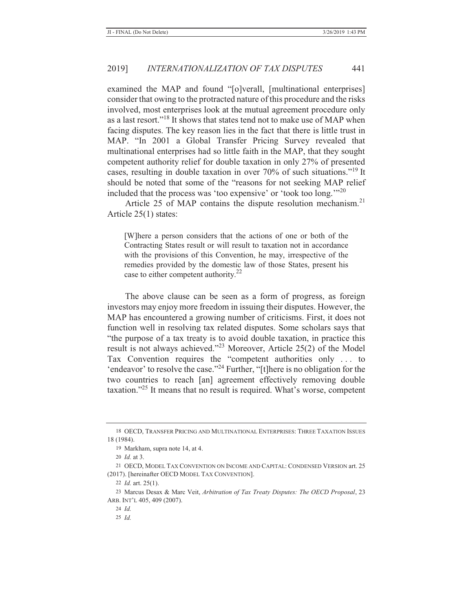examined the MAP and found "[o]verall, [multinational enterprises] consider that owing to the protracted nature of this procedure and the risks involved, most enterprises look at the mutual agreement procedure only as a last resort."18 It shows that states tend not to make use of MAP when facing disputes. The key reason lies in the fact that there is little trust in MAP. "In 2001 a Global Transfer Pricing Survey revealed that multinational enterprises had so little faith in the MAP, that they sought competent authority relief for double taxation in only 27% of presented cases, resulting in double taxation in over 70% of such situations."19 It should be noted that some of the "reasons for not seeking MAP relief included that the process was 'too expensive' or 'took too long.'"<sup>20</sup>

Article 25 of MAP contains the dispute resolution mechanism.<sup>21</sup> Article 25(1) states:

[W]here a person considers that the actions of one or both of the Contracting States result or will result to taxation not in accordance with the provisions of this Convention, he may, irrespective of the remedies provided by the domestic law of those States, present his case to either competent authority.<sup>22</sup>

The above clause can be seen as a form of progress, as foreign investors may enjoy more freedom in issuing their disputes. However, the MAP has encountered a growing number of criticisms. First, it does not function well in resolving tax related disputes. Some scholars says that "the purpose of a tax treaty is to avoid double taxation, in practice this result is not always achieved."23 Moreover, Article 25(2) of the Model Tax Convention requires the "competent authorities only . . . to 'endeavor' to resolve the case."<sup>24</sup> Further, "[t]here is no obligation for the two countries to reach [an] agreement effectively removing double taxation."<sup>25</sup> It means that no result is required. What's worse, competent

<sup>18</sup> OECD, TRANSFER PRICING AND MULTINATIONAL ENTERPRISES: THREE TAXATION ISSUES 18 (1984).

<sup>19</sup> Markham, supra note 14, at 4.

<sup>20</sup> *Id.* at 3.

<sup>21</sup> OECD, MODEL TAX CONVENTION ON INCOME AND CAPITAL: CONDENSED VERSION art. 25 (2017). [hereinafter OECD MODEL TAX CONVENTION].

<sup>22</sup> *Id.* art. 25(1).

<sup>23</sup> Marcus Desax & Marc Veit, *Arbitration of Tax Treaty Disputes: The OECD Proposal*, 23 ARB. INT'L 405, 409 (2007).

<sup>24</sup> *Id.*

<sup>25</sup> *Id.*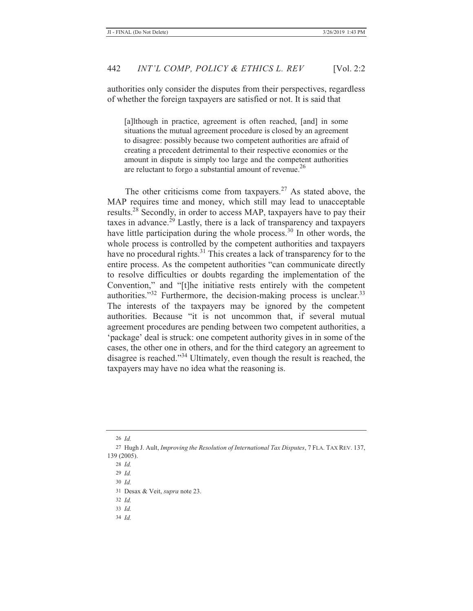authorities only consider the disputes from their perspectives, regardless of whether the foreign taxpayers are satisfied or not. It is said that

[a]lthough in practice, agreement is often reached, [and] in some situations the mutual agreement procedure is closed by an agreement to disagree: possibly because two competent authorities are afraid of creating a precedent detrimental to their respective economies or the amount in dispute is simply too large and the competent authorities are reluctant to forgo a substantial amount of revenue.<sup>26</sup>

The other criticisms come from taxpayers.<sup>27</sup> As stated above, the MAP requires time and money, which still may lead to unacceptable results.28 Secondly, in order to access MAP, taxpayers have to pay their taxes in advance.<sup> $29$ </sup> Lastly, there is a lack of transparency and taxpayers have little participation during the whole process.<sup>30</sup> In other words, the whole process is controlled by the competent authorities and taxpayers have no procedural rights. $31$  This creates a lack of transparency for to the entire process. As the competent authorities "can communicate directly to resolve difficulties or doubts regarding the implementation of the Convention," and "[t]he initiative rests entirely with the competent authorities." $32$  Furthermore, the decision-making process is unclear.  $33$ The interests of the taxpayers may be ignored by the competent authorities. Because "it is not uncommon that, if several mutual agreement procedures are pending between two competent authorities, a 'package' deal is struck: one competent authority gives in in some of the cases, the other one in others, and for the third category an agreement to disagree is reached."34 Ultimately, even though the result is reached, the taxpayers may have no idea what the reasoning is.

26 *Id.*

29 *Id.*

30 *Id.*

31 Desax & Veit, *supra* note 23.

33 *Id.*

34 *Id.*

<sup>27</sup> Hugh J. Ault, *Improving the Resolution of International Tax Disputes*, 7 FLA. TAX REV. 137, 139 (2005).

<sup>28</sup> *Id.*

<sup>32</sup> *Id.*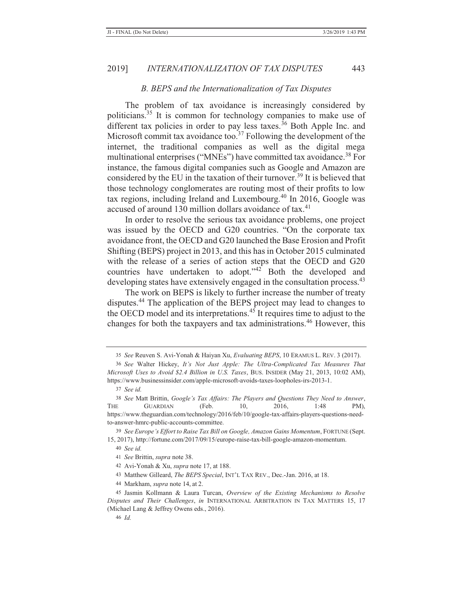#### *B. BEPS and the Internationalization of Tax Disputes*

The problem of tax avoidance is increasingly considered by politicians.<sup>35</sup> It is common for technology companies to make use of different tax policies in order to pay less taxes.<sup>36</sup> Both Apple Inc. and Microsoft commit tax avoidance too.<sup>37</sup> Following the development of the internet, the traditional companies as well as the digital mega multinational enterprises ("MNEs") have committed tax avoidance.<sup>38</sup> For instance, the famous digital companies such as Google and Amazon are considered by the EU in the taxation of their turnover.<sup>39</sup> It is believed that those technology conglomerates are routing most of their profits to low tax regions, including Ireland and Luxembourg.<sup>40</sup> In 2016, Google was accused of around 130 million dollars avoidance of tax. $41$ 

In order to resolve the serious tax avoidance problems, one project was issued by the OECD and G20 countries. "On the corporate tax avoidance front, the OECD and G20 launched the Base Erosion and Profit Shifting (BEPS) project in 2013, and this has in October 2015 culminated with the release of a series of action steps that the OECD and G20 countries have undertaken to adopt."42 Both the developed and developing states have extensively engaged in the consultation process.<sup>43</sup>

The work on BEPS is likely to further increase the number of treaty disputes.44 The application of the BEPS project may lead to changes to the OECD model and its interpretations.<sup>45</sup> It requires time to adjust to the changes for both the taxpayers and tax administrations.46 However, this

- 43 Matthew Gilleard, *The BEPS Special*, INT'L TAX REV., Dec.-Jan. 2016, at 18.
- 44 Markham, *supra* note 14, at 2.

<sup>35</sup> *See* Reuven S. Avi-Yonah & Haiyan Xu, *Evaluating BEPS*, 10 ERAMUS L. REV. 3 (2017).

<sup>36</sup> *See* Walter Hickey, *It's Not Just Apple: The Ultra-Complicated Tax Measures That Microsoft Uses to Avoid \$2.4 Billion in U.S. Taxes*, BUS. INSIDER (May 21, 2013, 10:02 AM), https://www.businessinsider.com/apple-microsoft-avoids-taxes-loopholes-irs-2013-1.

<sup>37</sup> *See id.*

<sup>38</sup> *See* Matt Brittin, *Google's Tax Affairs: The Players and Questions They Need to Answer*, THE GUARDIAN (Feb. 10, 2016, 1:48 PM), https://www.theguardian.com/technology/2016/feb/10/google-tax-affairs-players-questions-needto-answer-hmrc-public-accounts-committee.

<sup>39</sup> *See Europe's Effort to Raise Tax Bill on Google, Amazon Gains Momentum*, FORTUNE (Sept. 15, 2017), http://fortune.com/2017/09/15/europe-raise-tax-bill-google-amazon-momentum.

<sup>40</sup> *See id.*

<sup>41</sup> *See* Brittin, *supra* note 38.

<sup>42</sup> Avi-Yonah & Xu, *supra* note 17, at 188.

<sup>45</sup> Jasmin Kollmann & Laura Turcan, *Overview of the Existing Mechanisms to Resolve Disputes and Their Challenges*, *in* INTERNATIONAL ARBITRATION IN TAX MATTERS 15, 17 (Michael Lang & Jeffrey Owens eds., 2016).

<sup>46</sup> *Id.*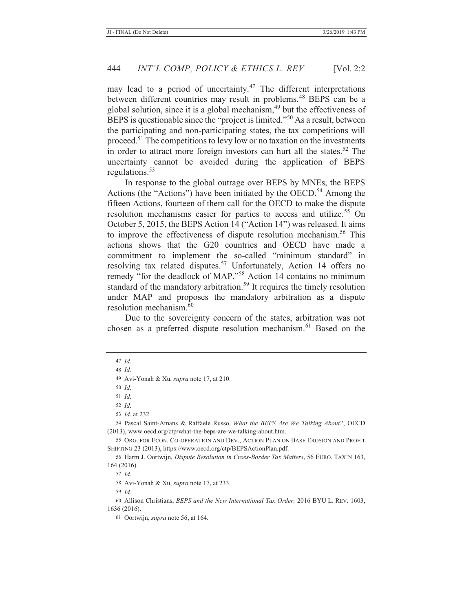may lead to a period of uncertainty.<sup>47</sup> The different interpretations between different countries may result in problems.<sup>48</sup> BEPS can be a global solution, since it is a global mechanism,<sup>49</sup> but the effectiveness of BEPS is questionable since the "project is limited."<sup>50</sup> As a result, between the participating and non-participating states, the tax competitions will proceed.<sup>51</sup> The competitions to levy low or no taxation on the investments in order to attract more foreign investors can hurt all the states. $52$  The uncertainty cannot be avoided during the application of BEPS regulations. $53$ 

In response to the global outrage over BEPS by MNEs, the BEPS Actions (the "Actions") have been initiated by the OECD.<sup>54</sup> Among the fifteen Actions, fourteen of them call for the OECD to make the dispute resolution mechanisms easier for parties to access and utilize.<sup>55</sup> On October 5, 2015, the BEPS Action 14 ("Action 14") was released. It aims to improve the effectiveness of dispute resolution mechanism.<sup>56</sup> This actions shows that the G20 countries and OECD have made a commitment to implement the so-called "minimum standard" in resolving tax related disputes.<sup>57</sup> Unfortunately, Action 14 offers no remedy "for the deadlock of MAP."58 Action 14 contains no minimum standard of the mandatory arbitration.<sup>59</sup> It requires the timely resolution under MAP and proposes the mandatory arbitration as a dispute resolution mechanism.<sup>60</sup>

Due to the sovereignty concern of the states, arbitration was not chosen as a preferred dispute resolution mechanism.<sup>61</sup> Based on the

50 *Id*.

52 *Id*. 53 *Id*. at 232.

54 Pascal Saint-Amans & Raffaele Russo, *What the BEPS Are We Talking About?*, OECD (2013), www.oecd.org/ctp/what-the-beps-are-we-talking-about.htm.

55 ORG. FOR ECON. CO-OPERATION AND DEV., ACTION PLAN ON BASE EROSION AND PROFIT SHIFTING 23 (2013), https://www.oecd.org/ctp/BEPSActionPlan.pdf.

56 Harm J. Oortwijn, *Dispute Resolution in Cross-Border Tax Matters*, 56 EURO. TAX'N 163, 164 (2016).

58 Avi-Yonah & Xu, *supra* note 17, at 233.

<sup>47</sup> *Id*.

<sup>48</sup> *Id.*

<sup>49</sup> Avi-Yonah & Xu, *supra* note 17, at 210.

<sup>51</sup> *Id*.

<sup>57</sup> *Id.*

<sup>59</sup> *Id.*

<sup>60</sup> Allison Christians, *BEPS and the New International Tax Order,* 2016 BYU L. REV. 1603, 1636 (2016).

<sup>61</sup> Oortwijn, *supra* note 56, at 164.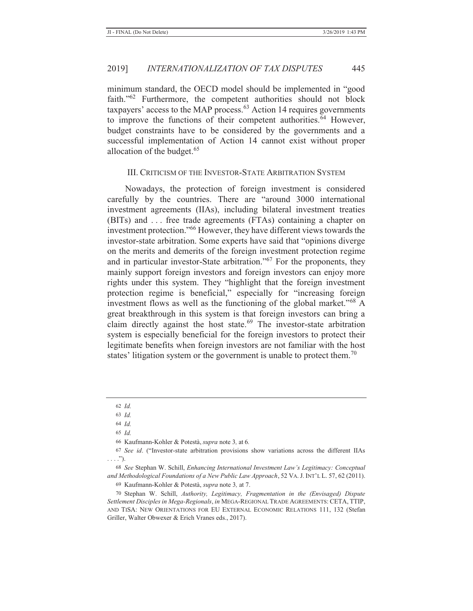minimum standard, the OECD model should be implemented in "good faith."<sup>62</sup> Furthermore, the competent authorities should not block taxpayers' access to the MAP process. $63$  Action 14 requires governments to improve the functions of their competent authorities.<sup>64</sup> However, budget constraints have to be considered by the governments and a successful implementation of Action 14 cannot exist without proper allocation of the budget.<sup>65</sup>

## III. CRITICISM OF THE INVESTOR-STATE ARBITRATION SYSTEM

Nowadays, the protection of foreign investment is considered carefully by the countries. There are "around 3000 international investment agreements (IIAs), including bilateral investment treaties (BITs) and . . . free trade agreements (FTAs) containing a chapter on investment protection."66 However, they have different views towards the investor-state arbitration. Some experts have said that "opinions diverge on the merits and demerits of the foreign investment protection regime and in particular investor-State arbitration."<sup>67</sup> For the proponents, they mainly support foreign investors and foreign investors can enjoy more rights under this system. They "highlight that the foreign investment protection regime is beneficial," especially for "increasing foreign investment flows as well as the functioning of the global market." $68$  A great breakthrough in this system is that foreign investors can bring a claim directly against the host state.<sup>69</sup> The investor-state arbitration system is especially beneficial for the foreign investors to protect their legitimate benefits when foreign investors are not familiar with the host states' litigation system or the government is unable to protect them.<sup>70</sup>

65 *Id.*

69 Kaufmann-Kohler & Potestà, *supra* note 3*,* at 7.

70 Stephan W. Schill, *Authority, Legitimacy, Fragmentation in the (Envisaged) Dispute Settlement Disciples in Mega-Regionals*, *in* MEGA-REGIONAL TRADE AGREEMENTS: CETA, TTIP, AND TISA: NEW ORIENTATIONS FOR EU EXTERNAL ECONOMIC RELATIONS 111, 132 (Stefan Griller, Walter Obwexer & Erich Vranes eds., 2017).

<sup>62</sup> *Id.*

<sup>63</sup> *Id.*

<sup>64</sup> *Id.*

<sup>66</sup> Kaufmann-Kohler & Potestà, *supra* note 3*,* at 6*.*

<sup>67</sup> *See id*. ("Investor-state arbitration provisions show variations across the different IIAs  $\ldots$ .").

<sup>68</sup> *See* Stephan W. Schill, *Enhancing International Investment Law's Legitimacy: Conceptual and Methodological Foundations of a New Public Law Approach*, 52 VA.J. INT'L L. 57, 62 (2011).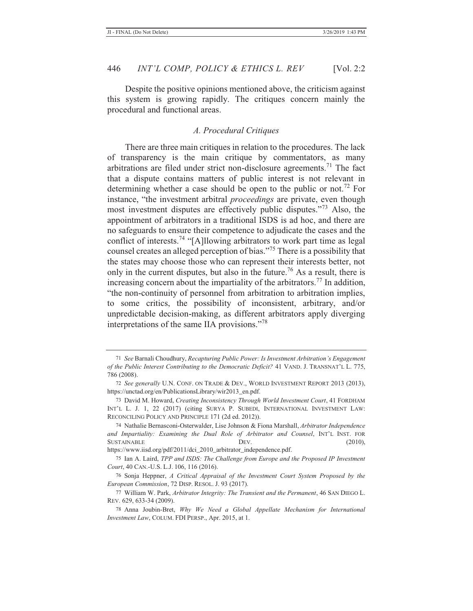Despite the positive opinions mentioned above, the criticism against this system is growing rapidly. The critiques concern mainly the procedural and functional areas.

## *A. Procedural Critiques*

There are three main critiques in relation to the procedures. The lack of transparency is the main critique by commentators, as many arbitrations are filed under strict non-disclosure agreements.<sup>71</sup> The fact that a dispute contains matters of public interest is not relevant in determining whether a case should be open to the public or not.<sup>72</sup> For instance, "the investment arbitral *proceedings* are private, even though most investment disputes are effectively public disputes."73 Also, the appointment of arbitrators in a traditional ISDS is ad hoc, and there are no safeguards to ensure their competence to adjudicate the cases and the conflict of interests.<sup>74</sup> "[A]llowing arbitrators to work part time as legal counsel creates an alleged perception of bias."75 There is a possibility that the states may choose those who can represent their interests better, not only in the current disputes, but also in the future.<sup>76</sup> As a result, there is increasing concern about the impartiality of the arbitrators.<sup>77</sup> In addition, "the non-continuity of personnel from arbitration to arbitration implies, to some critics, the possibility of inconsistent, arbitrary, and/or unpredictable decision-making, as different arbitrators apply diverging interpretations of the same IIA provisions."<sup>78</sup>

https://www.iisd.org/pdf/2011/dci\_2010\_arbitrator\_independence.pdf.

<sup>71</sup> *See* Barnali Choudhury, *Recapturing Public Power: Is Investment Arbitration's Engagement of the Public Interest Contributing to the Democratic Deficit?* 41 VAND. J. TRANSNAT'L L. 775, 786 (2008).

<sup>72</sup> *See generally* U.N. CONF. ON TRADE & DEV., WORLD INVESTMENT REPORT 2013 (2013), https://unctad.org/en/PublicationsLibrary/wir2013\_en.pdf.

<sup>73</sup> David M. Howard, *Creating Inconsistency Through World Investment Court*, 41 FORDHAM INT'L L. J. 1, 22 (2017) (citing SURYA P. SUBEDI, INTERNATIONAL INVESTMENT LAW: RECONCILING POLICY AND PRINCIPLE 171 (2d ed. 2012)).

<sup>74</sup> Nathalie Bernasconi-Osterwalder, Lise Johnson & Fiona Marshall, *Arbitrator Independence and Impartiality: Examining the Dual Role of Arbitrator and Counsel*, INT'L INST. FOR SUSTAINABLE DEV. (2010),

<sup>75</sup> Ian A. Laird, *TPP and ISDS: The Challenge from Europe and the Proposed IP Investment Court*, 40 CAN.-U.S. L.J. 106, 116 (2016).

<sup>76</sup> Sonja Heppner, *A Critical Appraisal of the Investment Court System Proposed by the European Commission*, 72 DISP. RESOL. J. 93 (2017).

<sup>77</sup> William W. Park, *Arbitrator Integrity: The Transient and the Permanent*, 46 SAN DIEGO L. REV. 629, 633-34 (2009).

<sup>78</sup> Anna Joubin-Bret, *Why We Need a Global Appellate Mechanism for International Investment Law*, COLUM. FDI PERSP., Apr. 2015, at 1.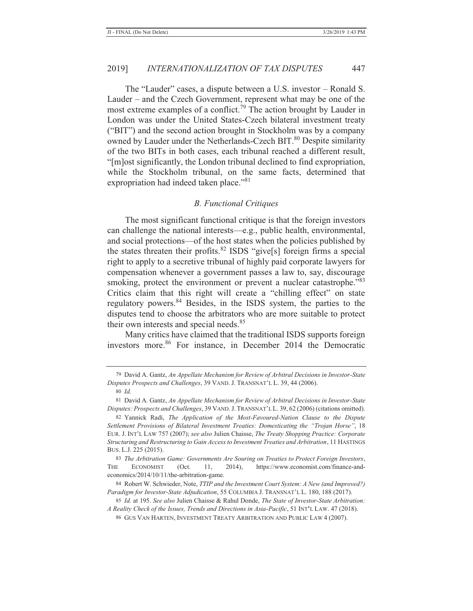The "Lauder" cases, a dispute between a U.S. investor – Ronald S. Lauder – and the Czech Government, represent what may be one of the most extreme examples of a conflict.<sup>79</sup> The action brought by Lauder in London was under the United States-Czech bilateral investment treaty ("BIT") and the second action brought in Stockholm was by a company owned by Lauder under the Netherlands-Czech BIT.<sup>80</sup> Despite similarity of the two BITs in both cases, each tribunal reached a different result, "[m]ost significantly, the London tribunal declined to find expropriation, while the Stockholm tribunal, on the same facts, determined that expropriation had indeed taken place."<sup>81</sup>

#### *B. Functional Critiques*

The most significant functional critique is that the foreign investors can challenge the national interests—e.g., public health, environmental, and social protections—of the host states when the policies published by the states threaten their profits.<sup>82</sup> ISDS "give[s] foreign firms a special right to apply to a secretive tribunal of highly paid corporate lawyers for compensation whenever a government passes a law to, say, discourage smoking, protect the environment or prevent a nuclear catastrophe."<sup>83</sup> Critics claim that this right will create a "chilling effect" on state regulatory powers.84 Besides, in the ISDS system, the parties to the disputes tend to choose the arbitrators who are more suitable to protect their own interests and special needs.<sup>85</sup>

Many critics have claimed that the traditional ISDS supports foreign investors more.<sup>86</sup> For instance, in December 2014 the Democratic

<sup>79</sup> David A. Gantz, *An Appellate Mechanism for Review of Arbitral Decisions in Investor-State Disputes Prospects and Challenges*, 39 VAND. J. TRANSNAT'L L. 39, 44 (2006).

<sup>80</sup> *Id.*

<sup>81</sup> David A. Gantz, *An Appellate Mechanism for Review of Arbitral Decisions in Investor-State Disputes: Prospects and Challenges*, 39 VAND.J. TRANSNAT'L L. 39, 62 (2006) (citations omitted).

<sup>82</sup> Yannick Radi, *The Application of the Most-Favoured-Nation Clause to the Dispute Settlement Provisions of Bilateral Investment Treaties: Domesticating the "Trojan Horse"*, 18 EUR. J. INT'L LAW 757 (2007); *see also* Julien Chaisse, *The Treaty Shopping Practice: Corporate Structuring and Restructuring to Gain Access to Investment Treaties and Arbitration*, 11 HASTINGS BUS. L.J. 225 (2015).

<sup>83</sup> *The Arbitration Game: Governments Are Souring on Treaties to Protect Foreign Investors*, THE ECONOMIST (Oct. 11, 2014), https://www.economist.com/finance-andeconomics/2014/10/11/the-arbitration-game.

<sup>84</sup> Robert W. Schwieder, Note, *TTIP and the Investment Court System: A New (and Improved?) Paradigm for Investor-State Adjudication*, 55 COLUMBIA J. TRANSNAT'L L. 180, 188 (2017).

<sup>85</sup> *Id.* at 195. *See also* Julien Chaisse & Rahul Donde, *The State of Investor-State Arbitration: A Reality Check of the Issues, Trends and Directions in Asia-Pacific*, 51 INT**'**L LAW. 47 (2018).

<sup>86</sup> GUS VAN HARTEN, INVESTMENT TREATY ARBITRATION AND PUBLIC LAW 4 (2007).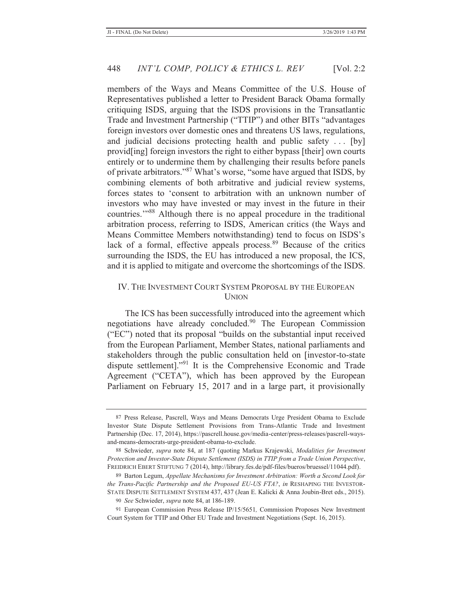members of the Ways and Means Committee of the U.S. House of Representatives published a letter to President Barack Obama formally critiquing ISDS, arguing that the ISDS provisions in the Transatlantic Trade and Investment Partnership ("TTIP") and other BITs "advantages foreign investors over domestic ones and threatens US laws, regulations, and judicial decisions protecting health and public safety . . . [by] provid[ing] foreign investors the right to either bypass [their] own courts entirely or to undermine them by challenging their results before panels of private arbitrators."<sup>87</sup> What's worse, "some have argued that ISDS, by combining elements of both arbitrative and judicial review systems, forces states to 'consent to arbitration with an unknown number of investors who may have invested or may invest in the future in their countries.'"88 Although there is no appeal procedure in the traditional arbitration process, referring to ISDS, American critics (the Ways and Means Committee Members notwithstanding) tend to focus on ISDS's lack of a formal, effective appeals process.<sup>89</sup> Because of the critics surrounding the ISDS, the EU has introduced a new proposal, the ICS, and it is applied to mitigate and overcome the shortcomings of the ISDS.

## IV. THE INVESTMENT COURT SYSTEM PROPOSAL BY THE EUROPEAN UNION

The ICS has been successfully introduced into the agreement which negotiations have already concluded.<sup>90</sup> The European Commission ("EC") noted that its proposal "builds on the substantial input received from the European Parliament, Member States, national parliaments and stakeholders through the public consultation held on [investor-to-state dispute settlement]."91 It is the Comprehensive Economic and Trade Agreement ("CETA"), which has been approved by the European Parliament on February 15, 2017 and in a large part, it provisionally

<sup>87</sup> Press Release, Pascrell, Ways and Means Democrats Urge President Obama to Exclude Investor State Dispute Settlement Provisions from Trans-Atlantic Trade and Investment Partnership (Dec. 17, 2014), https://pascrell.house.gov/media-center/press-releases/pascrell-waysand-means-democrats-urge-president-obama-to-exclude.

<sup>88</sup> Schwieder, *supra* note 84, at 187 (quoting Markus Krajewski, *Modalities for Investment Protection and Investor-State Dispute Settlement (ISDS) in TTIP from a Trade Union Perspective*, FREIDRICH EBERT STIFTUNG 7 (2014), http://library.fes.de/pdf-files/bueros/bruessel/11044.pdf).

<sup>89</sup> Barton Legum, *Appellate Mechanisms for Investment Arbitration: Worth a Second Look for the Trans-Pacific Partnership and the Proposed EU-US FTA?*, *in* RESHAPING THE INVESTOR-STATE DISPUTE SETTLEMENT SYSTEM 437, 437 (Jean E. Kalicki & Anna Joubin-Bret eds., 2015).

<sup>90</sup> *See* Schwieder, *supra* note 84, at 186-189.

<sup>91</sup> European Commission Press Release IP/15/5651*,* Commission Proposes New Investment Court System for TTIP and Other EU Trade and Investment Negotiations (Sept. 16, 2015).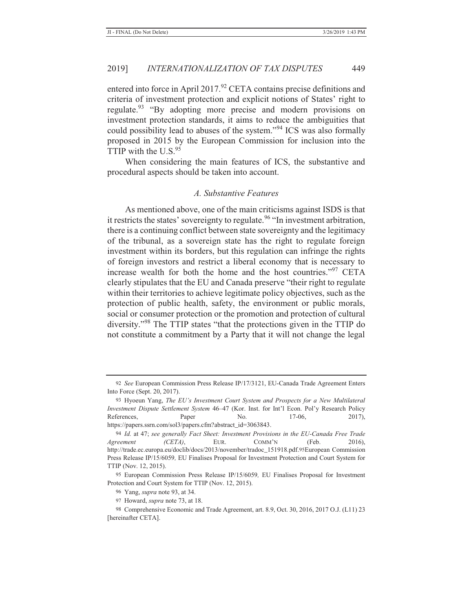entered into force in April 2017.<sup>92</sup> CETA contains precise definitions and criteria of investment protection and explicit notions of States' right to regulate.<sup>93</sup> "By adopting more precise and modern provisions on investment protection standards, it aims to reduce the ambiguities that could possibility lead to abuses of the system."94 ICS was also formally proposed in 2015 by the European Commission for inclusion into the TTIP with the  $U.S.<sup>95</sup>$ 

When considering the main features of ICS, the substantive and procedural aspects should be taken into account.

## *A. Substantive Features*

As mentioned above, one of the main criticisms against ISDS is that it restricts the states' sovereignty to regulate.<sup>96</sup> "In investment arbitration, there is a continuing conflict between state sovereignty and the legitimacy of the tribunal, as a sovereign state has the right to regulate foreign investment within its borders, but this regulation can infringe the rights of foreign investors and restrict a liberal economy that is necessary to increase wealth for both the home and the host countries."97 CETA clearly stipulates that the EU and Canada preserve "their right to regulate within their territories to achieve legitimate policy objectives, such as the protection of public health, safety, the environment or public morals, social or consumer protection or the promotion and protection of cultural diversity."98 The TTIP states "that the protections given in the TTIP do not constitute a commitment by a Party that it will not change the legal

<sup>92</sup> *See* European Commission Press Release IP/17/3121, EU-Canada Trade Agreement Enters Into Force (Sept. 20, 2017).

<sup>93</sup> Hyoeun Yang, *The EU's Investment Court System and Prospects for a New Multilateral Investment Dispute Settlement System* 46–47 (Kor. Inst. for Int'l Econ. Pol'y Research Policy References, Paper No. 17-06, 2017), https://papers.ssrn.com/sol3/papers.cfm?abstract\_id=3063843.

<sup>94</sup> *Id.* at 47; *see generally Fact Sheet: Investment Provisions in the EU-Canada Free Trade Agreement (CETA)*, EUR. COMM'N (Feb. 2016), http://trade.ec.europa.eu/doclib/docs/2013/november/tradoc\_151918.pdf.95 European Commission Press Release IP/15/6059*,* EU Finalises Proposal for Investment Protection and Court System for TTIP (Nov. 12, 2015).

<sup>95</sup> European Commission Press Release IP/15/6059*,* EU Finalises Proposal for Investment Protection and Court System for TTIP (Nov. 12, 2015).

<sup>96</sup> Yang, *supra* note 93, at 34.

<sup>97</sup> Howard, *supra* note 73, at 18.

<sup>98</sup> Comprehensive Economic and Trade Agreement, art. 8.9, Oct. 30, 2016, 2017 O.J. (L11) 23 [hereinafter CETA].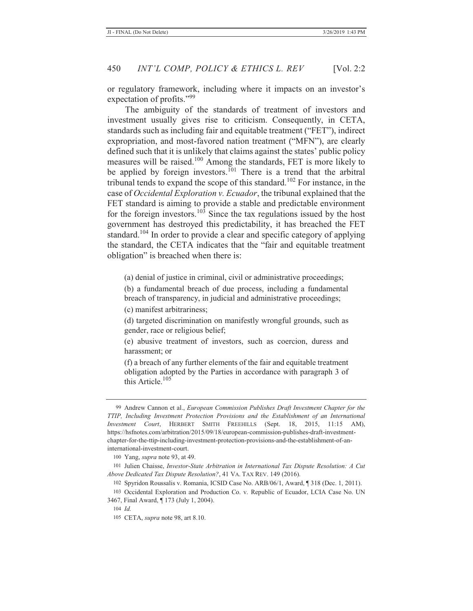or regulatory framework, including where it impacts on an investor's expectation of profits."99

The ambiguity of the standards of treatment of investors and investment usually gives rise to criticism. Consequently, in CETA, standards such as including fair and equitable treatment ("FET"), indirect expropriation, and most-favored nation treatment ("MFN"), are clearly defined such that it is unlikely that claims against the states' public policy measures will be raised.100 Among the standards, FET is more likely to be applied by foreign investors.<sup>101</sup> There is a trend that the arbitral tribunal tends to expand the scope of this standard.<sup>102</sup> For instance, in the case of *Occidental Exploration v. Ecuador*, the tribunal explained that the FET standard is aiming to provide a stable and predictable environment for the foreign investors.<sup>103</sup> Since the tax regulations issued by the host government has destroyed this predictability, it has breached the FET standard.<sup>104</sup> In order to provide a clear and specific category of applying the standard, the CETA indicates that the "fair and equitable treatment obligation" is breached when there is:

(a) denial of justice in criminal, civil or administrative proceedings;

(b) a fundamental breach of due process, including a fundamental breach of transparency, in judicial and administrative proceedings;

(c) manifest arbitrariness;

(d) targeted discrimination on manifestly wrongful grounds, such as gender, race or religious belief;

(e) abusive treatment of investors, such as coercion, duress and harassment; or

(f) a breach of any further elements of the fair and equitable treatment obligation adopted by the Parties in accordance with paragraph 3 of this Article. $105$ 

<sup>99</sup> Andrew Cannon et al., *European Commission Publishes Draft Investment Chapter for the TTIP, Including Investment Protection Provisions and the Establishment of an International Investment Court*, HERBERT SMITH FREEHILLS (Sept. 18, 2015, 11:15 AM), https://hsfnotes.com/arbitration/2015/09/18/european-commission-publishes-draft-investmentchapter-for-the-ttip-including-investment-protection-provisions-and-the-establishment-of-aninternational-investment-court.

<sup>100</sup> Yang, *supra* note 93, at 49.

<sup>101</sup> Julien Chaisse, *Investor-State Arbitration in International Tax Dispute Resolution: A Cut Above Dedicated Tax Dispute Resolution?*, 41 VA. TAX REV. 149 (2016).

<sup>102</sup> Spyridon Roussalis v. Romania, ICSID Case No. ARB/06/1, Award, ¶ 318 (Dec. 1, 2011).

<sup>103</sup> Occidental Exploration and Production Co. v. Republic of Ecuador, LCIA Case No. UN 3467, Final Award, ¶ 173 (July 1, 2004).

<sup>104</sup> *Id.*

<sup>105</sup> CETA, *supra* note 98, art 8.10.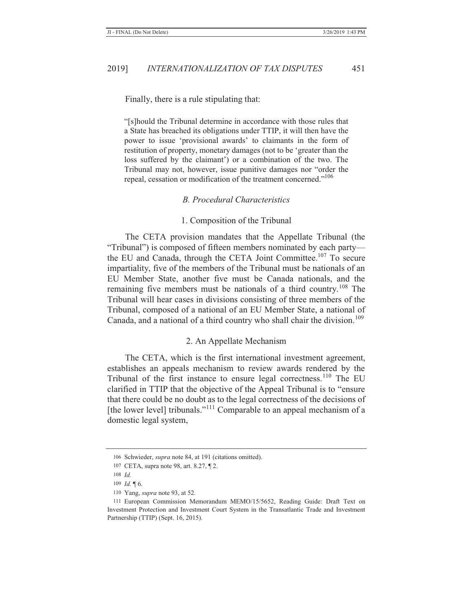#### Finally, there is a rule stipulating that:

"[s]hould the Tribunal determine in accordance with those rules that a State has breached its obligations under TTIP, it will then have the power to issue 'provisional awards' to claimants in the form of restitution of property, monetary damages (not to be 'greater than the loss suffered by the claimant') or a combination of the two. The Tribunal may not, however, issue punitive damages nor "order the repeal, cessation or modification of the treatment concerned."<sup>106</sup>

#### *B. Procedural Characteristics*

#### 1. Composition of the Tribunal

The CETA provision mandates that the Appellate Tribunal (the "Tribunal") is composed of fifteen members nominated by each party the EU and Canada, through the CETA Joint Committee.<sup>107</sup> To secure impartiality, five of the members of the Tribunal must be nationals of an EU Member State, another five must be Canada nationals, and the remaining five members must be nationals of a third country.<sup>108</sup> The Tribunal will hear cases in divisions consisting of three members of the Tribunal, composed of a national of an EU Member State, a national of Canada, and a national of a third country who shall chair the division.<sup>109</sup>

## 2. An Appellate Mechanism

The CETA, which is the first international investment agreement, establishes an appeals mechanism to review awards rendered by the Tribunal of the first instance to ensure legal correctness.<sup>110</sup> The EU clarified in TTIP that the objective of the Appeal Tribunal is to "ensure that there could be no doubt as to the legal correctness of the decisions of [the lower level] tribunals."<sup>111</sup> Comparable to an appeal mechanism of a domestic legal system,

<sup>106</sup> Schwieder, *supra* note 84, at 191 (citations omitted).

<sup>107</sup> CETA, supra note 98, art. 8.27, ¶ 2.

<sup>108</sup> *Id.*

<sup>109</sup> *Id.* ¶ 6.

<sup>110</sup> Yang, *supra* note 93, at 52.

<sup>111</sup> European Commission Memorandum MEMO/15/5652, Reading Guide: Draft Text on Investment Protection and Investment Court System in the Transatlantic Trade and Investment Partnership (TTIP) (Sept. 16, 2015).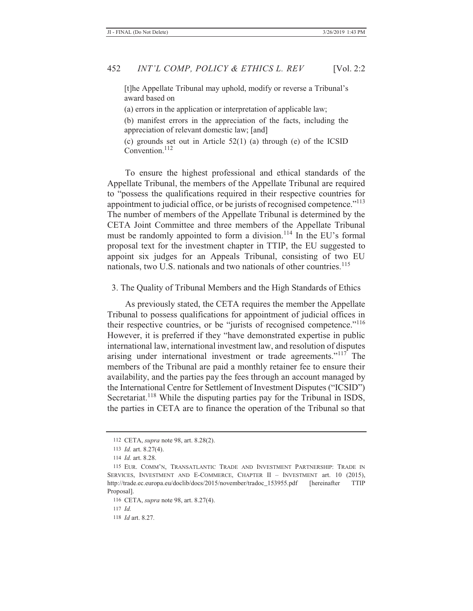[t]he Appellate Tribunal may uphold, modify or reverse a Tribunal's award based on

(a) errors in the application or interpretation of applicable law;

(b) manifest errors in the appreciation of the facts, including the appreciation of relevant domestic law; [and]

(c) grounds set out in Article 52(1) (a) through (e) of the ICSID Convention.<sup>112</sup>

To ensure the highest professional and ethical standards of the Appellate Tribunal, the members of the Appellate Tribunal are required to "possess the qualifications required in their respective countries for appointment to judicial office, or be jurists of recognised competence."<sup>113</sup> The number of members of the Appellate Tribunal is determined by the CETA Joint Committee and three members of the Appellate Tribunal must be randomly appointed to form a division.<sup>114</sup> In the EU's formal proposal text for the investment chapter in TTIP, the EU suggested to appoint six judges for an Appeals Tribunal, consisting of two EU nationals, two U.S. nationals and two nationals of other countries.<sup>115</sup>

3. The Quality of Tribunal Members and the High Standards of Ethics

As previously stated, the CETA requires the member the Appellate Tribunal to possess qualifications for appointment of judicial offices in their respective countries, or be "jurists of recognised competence."<sup>116</sup> However, it is preferred if they "have demonstrated expertise in public international law, international investment law, and resolution of disputes arising under international investment or trade agreements."117 The members of the Tribunal are paid a monthly retainer fee to ensure their availability, and the parties pay the fees through an account managed by the International Centre for Settlement of Investment Disputes ("ICSID") Secretariat.<sup>118</sup> While the disputing parties pay for the Tribunal in ISDS, the parties in CETA are to finance the operation of the Tribunal so that

<sup>112</sup> CETA, *supra* note 98, art. 8.28(2).

<sup>113</sup> *Id.* art. 8.27(4).

<sup>114</sup> *Id.* art. 8.28.

<sup>115</sup> EUR. COMM'N, TRANSATLANTIC TRADE AND INVESTMENT PARTNERSHIP: TRADE IN SERVICES, INVESTMENT AND E-COMMERCE, CHAPTER II – INVESTMENT art. 10 (2015), http://trade.ec.europa.eu/doclib/docs/2015/november/tradoc\_153955.pdf [hereinafter TTIP Proposal].

<sup>116</sup> CETA, *supra* note 98, art. 8.27(4).

<sup>117</sup> *Id.*

<sup>118</sup> *Id* art. 8.27*.*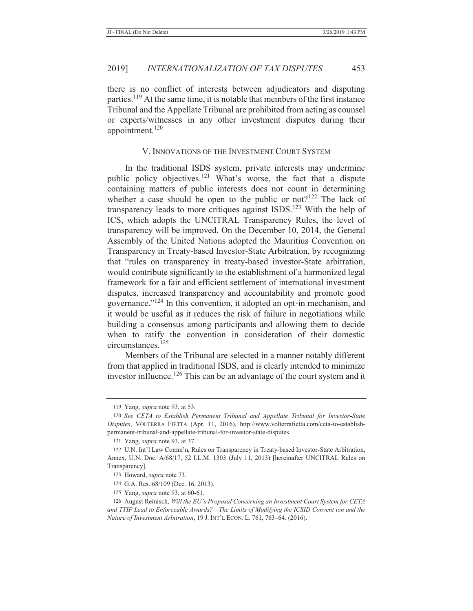there is no conflict of interests between adjudicators and disputing parties.119 At the same time, it is notable that members of the first instance Tribunal and the Appellate Tribunal are prohibited from acting as counsel or experts/witnesses in any other investment disputes during their appointment. $120$ 

## V. INNOVATIONS OF THE INVESTMENT COURT SYSTEM

In the traditional ISDS system, private interests may undermine public policy objectives.<sup>121</sup> What's worse, the fact that a dispute containing matters of public interests does not count in determining whether a case should be open to the public or not?<sup>122</sup> The lack of transparency leads to more critiques against ISDS.<sup>123</sup> With the help of ICS, which adopts the UNCITRAL Transparency Rules, the level of transparency will be improved. On the December 10, 2014, the General Assembly of the United Nations adopted the Mauritius Convention on Transparency in Treaty-based Investor-State Arbitration, by recognizing that "rules on transparency in treaty-based investor-State arbitration, would contribute significantly to the establishment of a harmonized legal framework for a fair and efficient settlement of international investment disputes, increased transparency and accountability and promote good governance."124 In this convention, it adopted an opt-in mechanism, and it would be useful as it reduces the risk of failure in negotiations while building a consensus among participants and allowing them to decide when to ratify the convention in consideration of their domestic circumstances.125

Members of the Tribunal are selected in a manner notably different from that applied in traditional ISDS, and is clearly intended to minimize investor influence.<sup>126</sup> This can be an advantage of the court system and it

<sup>119</sup> Yang, *supra* note 93, at 53.

<sup>120</sup> *See CETA to Establish Permanent Tribunal and Appellate Tribunal for Investor-State Disputes*, VOLTERRA FIETTA (Apr. 11, 2016), http://www.volterrafietta.com/ceta-to-establishpermanent-tribunal-and-appellate-tribunal-for-investor-state-disputes.

<sup>121</sup> Yang, *supra* note 93, at 37.

<sup>122</sup> U.N. Int'l Law Comm'n, Rules on Transparency in Treaty-based Investor-State Arbitration, Annex, U.N. Doc. A/68/17, 52 I.L.M. 1303 (July 11, 2013) [hereinafter UNCITRAL Rules on Transparency].

<sup>123</sup> Howard, *supra* note 73.

<sup>124</sup> G.A. Res. 68/109 (Dec. 16, 2013).

<sup>125</sup> Yang, *supra* note 93, at 60-61.

<sup>126</sup> August Reinisch, *Will the EU's Proposal Concerning an Investment Court System for CETA and TTIP Lead to Enforceable Awards?—The Limits of Modifying the ICSID Convent ion and the Nature of Investment Arbitration*, 19 J. INT'L ECON. L. 761, 763–64. (2016).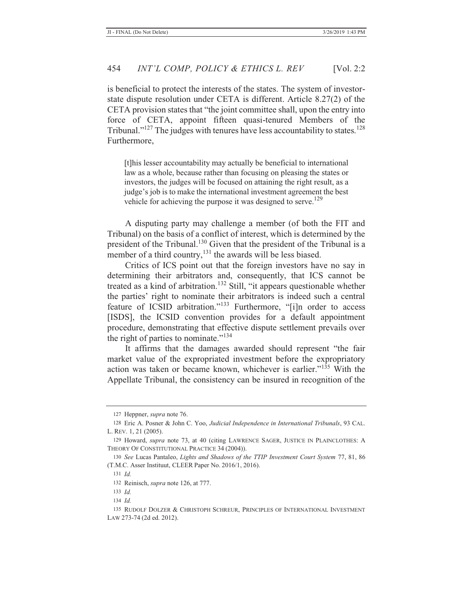is beneficial to protect the interests of the states. The system of investorstate dispute resolution under CETA is different. Article 8.27(2) of the CETA provision states that "the joint committee shall, upon the entry into force of CETA, appoint fifteen quasi-tenured Members of the Tribunal." $127$  The judges with tenures have less accountability to states. $128$ Furthermore,

[t]his lesser accountability may actually be beneficial to international law as a whole, because rather than focusing on pleasing the states or investors, the judges will be focused on attaining the right result, as a judge's job is to make the international investment agreement the best vehicle for achieving the purpose it was designed to serve.<sup>129</sup>

A disputing party may challenge a member (of both the FIT and Tribunal) on the basis of a conflict of interest, which is determined by the president of the Tribunal.<sup>130</sup> Given that the president of the Tribunal is a member of a third country,  $^{131}$  the awards will be less biased.

Critics of ICS point out that the foreign investors have no say in determining their arbitrators and, consequently, that ICS cannot be treated as a kind of arbitration.<sup>132</sup> Still, "it appears questionable whether the parties' right to nominate their arbitrators is indeed such a central feature of ICSID arbitration."<sup>133</sup> Furthermore, "[i]n order to access [ISDS], the ICSID convention provides for a default appointment procedure, demonstrating that effective dispute settlement prevails over the right of parties to nominate."<sup>134</sup>

It affirms that the damages awarded should represent "the fair market value of the expropriated investment before the expropriatory action was taken or became known, whichever is earlier."135 With the Appellate Tribunal, the consistency can be insured in recognition of the

<sup>127</sup> Heppner, *supra* note 76.

<sup>128</sup> Eric A. Posner & John C. Yoo, *Judicial Independence in International Tribunals*, 93 CAL. L. REV. 1, 21 (2005).

<sup>129</sup> Howard, *supra* note 73, at 40 (citing LAWRENCE SAGER, JUSTICE IN PLAINCLOTHES: A THEORY OF CONSTITUTIONAL PRACTICE 34 (2004)).

<sup>130</sup> *See* Lucas Pantaleo, *Lights and Shadows of the TTIP Investment Court System* 77, 81, 86 (T.M.C. Asser Instituut, CLEER Paper No. 2016/1, 2016).

<sup>131</sup> *Id.*

<sup>132</sup> Reinisch, *supra* note 126, at 777.

<sup>133</sup> *Id.*

<sup>134</sup> *Id.*

<sup>135</sup> RUDOLF DOLZER & CHRISTOPH SCHREUR, PRINCIPLES OF INTERNATIONAL INVESTMENT LAW 273-74 (2d ed. 2012).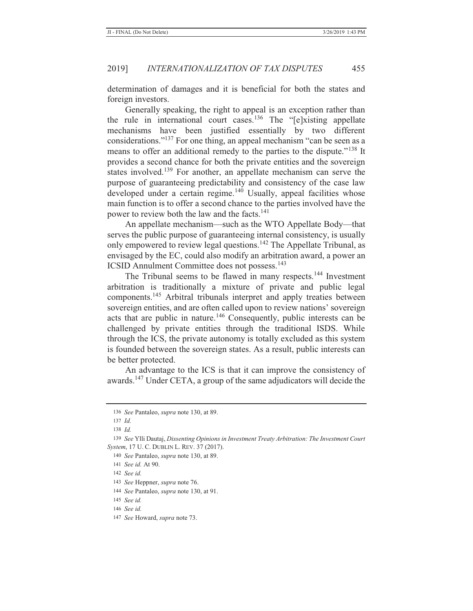determination of damages and it is beneficial for both the states and foreign investors.

Generally speaking, the right to appeal is an exception rather than the rule in international court cases.<sup>136</sup> The " $[e]$ xisting appellate mechanisms have been justified essentially by two different considerations."137 For one thing, an appeal mechanism "can be seen as a means to offer an additional remedy to the parties to the dispute."138 It provides a second chance for both the private entities and the sovereign states involved.<sup>139</sup> For another, an appellate mechanism can serve the purpose of guaranteeing predictability and consistency of the case law developed under a certain regime.<sup>140</sup> Usually, appeal facilities whose main function is to offer a second chance to the parties involved have the power to review both the law and the facts.<sup>141</sup>

An appellate mechanism—such as the WTO Appellate Body—that serves the public purpose of guaranteeing internal consistency, is usually only empowered to review legal questions.<sup>142</sup> The Appellate Tribunal, as envisaged by the EC, could also modify an arbitration award, a power an ICSID Annulment Committee does not possess.<sup>143</sup>

The Tribunal seems to be flawed in many respects.<sup>144</sup> Investment arbitration is traditionally a mixture of private and public legal components.145 Arbitral tribunals interpret and apply treaties between sovereign entities, and are often called upon to review nations' sovereign acts that are public in nature.<sup>146</sup> Consequently, public interests can be challenged by private entities through the traditional ISDS. While through the ICS, the private autonomy is totally excluded as this system is founded between the sovereign states. As a result, public interests can be better protected.

An advantage to the ICS is that it can improve the consistency of awards.147 Under CETA, a group of the same adjudicators will decide the

143 *See* Heppner, *supra* note 76.

<sup>136</sup> *See* Pantaleo, *supra* note 130, at 89.

<sup>137</sup> *Id.*

<sup>138</sup> *Id.*

<sup>139</sup> *See* Ylli Dautaj, *Dissenting Opinions in Investment Treaty Arbitration: The Investment Court System*, 17 U. C. DUBLIN L. REV. 37 (2017).

<sup>140</sup> *See* Pantaleo, *supra* note 130, at 89.

<sup>141</sup> *See id.* At 90.

<sup>142</sup> *See id.*

<sup>144</sup> *See* Pantaleo, *supra* note 130, at 91.

<sup>145</sup> *See id.*

<sup>146</sup> *See id.*

<sup>147</sup> *See* Howard, *supra* note 73.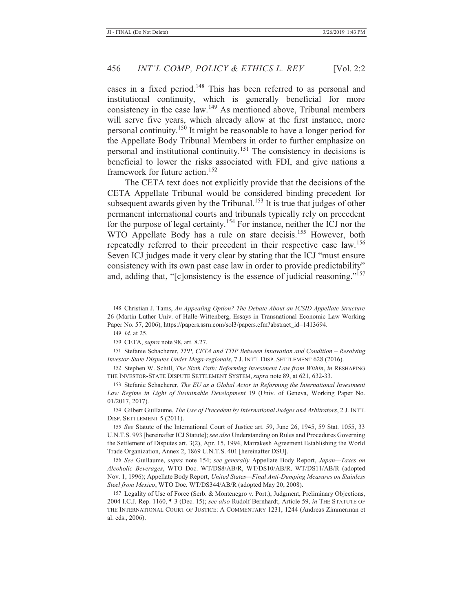cases in a fixed period.148 This has been referred to as personal and institutional continuity, which is generally beneficial for more consistency in the case law.149 As mentioned above, Tribunal members will serve five years, which already allow at the first instance, more personal continuity.150 It might be reasonable to have a longer period for the Appellate Body Tribunal Members in order to further emphasize on personal and institutional continuity.151 The consistency in decisions is beneficial to lower the risks associated with FDI, and give nations a framework for future action.<sup>152</sup>

The CETA text does not explicitly provide that the decisions of the CETA Appellate Tribunal would be considered binding precedent for subsequent awards given by the Tribunal.<sup>153</sup> It is true that judges of other permanent international courts and tribunals typically rely on precedent for the purpose of legal certainty.<sup>154</sup> For instance, neither the ICJ nor the WTO Appellate Body has a rule on stare decisis.<sup>155</sup> However, both repeatedly referred to their precedent in their respective case law.<sup>156</sup> Seven ICJ judges made it very clear by stating that the ICJ "must ensure consistency with its own past case law in order to provide predictability" and, adding that, "[c]onsistency is the essence of judicial reasoning."<sup>157</sup>

149 *Id*. at 25.

154 Gilbert Guillaume, *The Use of Precedent by International Judges and Arbitrators*, 2 J. INT'L DISP. SETTLEMENT 5 (2011).

<sup>148</sup> Christian J. Tams, *An Appealing Option? The Debate About an ICSID Appellate Structure* 26 (Martin Luther Univ. of Halle-Wittenberg, Essays in Transnational Economic Law Working Paper No. 57, 2006), https://papers.ssrn.com/sol3/papers.cfm?abstract\_id=1413694.

<sup>150</sup> CETA, *supra* note 98, art. 8.27.

<sup>151</sup> Stefanie Schacherer, *TPP, CETA and TTIP Between Innovation and Condition - Resolving Investor-State Disputes Under Mega-regionals*, 7 J. INT'L DISP. SETTLEMENT 628 (2016).

<sup>152</sup> Stephen W. Schill, *The Sixth Path: Reforming Investment Law from Within*, *in* RESHAPING THE INVESTOR-STATE DISPUTE SETTLEMENT SYSTEM, *supra* note 89, at 621, 632-33.

<sup>153</sup> Stefanie Schacherer, *The EU as a Global Actor in Reforming the International Investment Law Regime in Light of Sustainable Development* 19 (Univ. of Geneva, Working Paper No. 01/2017, 2017).

<sup>155</sup> *See* Statute of the International Court of Justice art. 59, June 26, 1945, 59 Stat. 1055, 33 U.N.T.S. 993 [hereinafter ICJ Statute]; *see also* Understanding on Rules and Procedures Governing the Settlement of Disputes art. 3(2), Apr. 15, 1994, Marrakesh Agreement Establishing the World Trade Organization, Annex 2, 1869 U.N.T.S. 401 [hereinafter DSU].

<sup>156</sup> *See* Guillaume, *supra* note 154; *see generally* Appellate Body Report, *Japan—Taxes on Alcoholic Beverages*, WTO Doc. WT/DS8/AB/R, WT/DS10/AB/R, WT/DS11/AB/R (adopted Nov. 1, 1996); Appellate Body Report, *United States—Final Anti-Dumping Measures on Stainless Steel from Mexico*, WTO Doc. WT/DS344/AB/R (adopted May 20, 2008).

<sup>157</sup> Legality of Use of Force (Serb. & Montenegro v. Port.), Judgment, Preliminary Objections, 2004 I.C.J. Rep. 1160, ¶ 3 (Dec. 15); *see also* Rudolf Bernhardt, Article 59, *in* THE STATUTE OF THE INTERNATIONAL COURT OF JUSTICE: A COMMENTARY 1231, 1244 (Andreas Zimmerman et al. eds., 2006).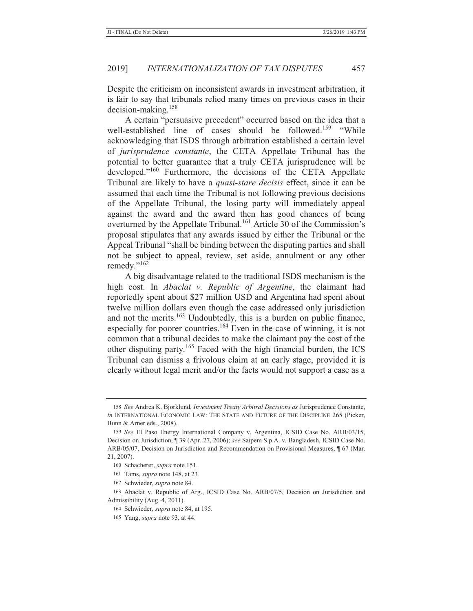Despite the criticism on inconsistent awards in investment arbitration, it is fair to say that tribunals relied many times on previous cases in their decision-making.<sup>158</sup>

A certain "persuasive precedent" occurred based on the idea that a well-established line of cases should be followed.<sup>159</sup> "While acknowledging that ISDS through arbitration established a certain level of *jurisprudence constante*, the CETA Appellate Tribunal has the potential to better guarantee that a truly CETA jurisprudence will be developed."160 Furthermore, the decisions of the CETA Appellate Tribunal are likely to have a *quasi-stare decisis* effect, since it can be assumed that each time the Tribunal is not following previous decisions of the Appellate Tribunal, the losing party will immediately appeal against the award and the award then has good chances of being overturned by the Appellate Tribunal.<sup>161</sup> Article 30 of the Commission's proposal stipulates that any awards issued by either the Tribunal or the Appeal Tribunal "shall be binding between the disputing parties and shall not be subject to appeal, review, set aside, annulment or any other remedy."<sup>162</sup>

A big disadvantage related to the traditional ISDS mechanism is the high cost. In *Abaclat v. Republic of Argentine*, the claimant had reportedly spent about \$27 million USD and Argentina had spent about twelve million dollars even though the case addressed only jurisdiction and not the merits.<sup>163</sup> Undoubtedly, this is a burden on public finance, especially for poorer countries.<sup>164</sup> Even in the case of winning, it is not common that a tribunal decides to make the claimant pay the cost of the other disputing party.165 Faced with the high financial burden, the ICS Tribunal can dismiss a frivolous claim at an early stage, provided it is clearly without legal merit and/or the facts would not support a case as a

<sup>158</sup> *See* Andrea K. Bjorklund, *Investment Treaty Arbitral Decisions as* Jurisprudence Constante, *in* INTERNATIONAL ECONOMIC LAW: THE STATE AND FUTURE OF THE DISCIPLINE 265 (Picker, Bunn & Arner eds., 2008).

<sup>159</sup> *See* El Paso Energy International Company v. Argentina, ICSID Case No. ARB/03/15, Decision on Jurisdiction, ¶ 39 (Apr. 27, 2006); *see* Saipem S.p.A. v. Bangladesh, ICSID Case No. ARB/05/07, Decision on Jurisdiction and Recommendation on Provisional Measures, ¶ 67 (Mar. 21, 2007).

<sup>160</sup> Schacherer, *supra* note 151.

<sup>161</sup> Tams, *supra* note 148, at 23.

<sup>162</sup> Schwieder, *supra* note 84.

<sup>163</sup> Abaclat v. Republic of Arg., ICSID Case No. ARB/07/5, Decision on Jurisdiction and Admissibility (Aug. 4, 2011).

<sup>164</sup> Schwieder, *supra* note 84, at 195.

<sup>165</sup> Yang, *supra* note 93, at 44.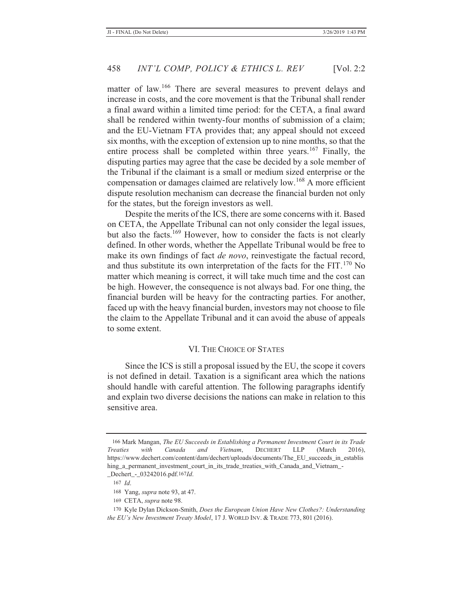matter of law.<sup>166</sup> There are several measures to prevent delays and increase in costs, and the core movement is that the Tribunal shall render a final award within a limited time period: for the CETA, a final award shall be rendered within twenty-four months of submission of a claim; and the EU-Vietnam FTA provides that; any appeal should not exceed six months, with the exception of extension up to nine months, so that the entire process shall be completed within three years.<sup>167</sup> Finally, the disputing parties may agree that the case be decided by a sole member of the Tribunal if the claimant is a small or medium sized enterprise or the compensation or damages claimed are relatively low.168 A more efficient dispute resolution mechanism can decrease the financial burden not only for the states, but the foreign investors as well.

Despite the merits of the ICS, there are some concerns with it. Based on CETA, the Appellate Tribunal can not only consider the legal issues, but also the facts.169 However, how to consider the facts is not clearly defined. In other words, whether the Appellate Tribunal would be free to make its own findings of fact *de novo*, reinvestigate the factual record, and thus substitute its own interpretation of the facts for the  $FIT.170$  No matter which meaning is correct, it will take much time and the cost can be high. However, the consequence is not always bad. For one thing, the financial burden will be heavy for the contracting parties. For another, faced up with the heavy financial burden, investors may not choose to file the claim to the Appellate Tribunal and it can avoid the abuse of appeals to some extent.

## VI. THE CHOICE OF STATES

Since the ICS is still a proposal issued by the EU, the scope it covers is not defined in detail. Taxation is a significant area which the nations should handle with careful attention. The following paragraphs identify and explain two diverse decisions the nations can make in relation to this sensitive area.

 <sup>166</sup> Mark Mangan, *The EU Succeeds in Establishing a Permanent Investment Court in its Trade Treaties with Canada and Vietnam*, DECHERT LLP (March 2016), https://www.dechert.com/content/dam/dechert/uploads/documents/The\_EU\_succeeds\_in\_establis hing\_a\_permanent\_investment\_court\_in\_its\_trade\_treaties\_with\_Canada\_and\_Vietnam\_-

\_Dechert\_-\_03242016.pdf.167 *Id*.

<sup>167</sup> *Id*.

<sup>168</sup> Yang, *supra* note 93, at 47.

<sup>169</sup> CETA, *supra* note 98.

<sup>170</sup> Kyle Dylan Dickson-Smith, *Does the European Union Have New Clothes?: Understanding the EU's New Investment Treaty Model*, 17 J. WORLD INV. & TRADE 773, 801 (2016).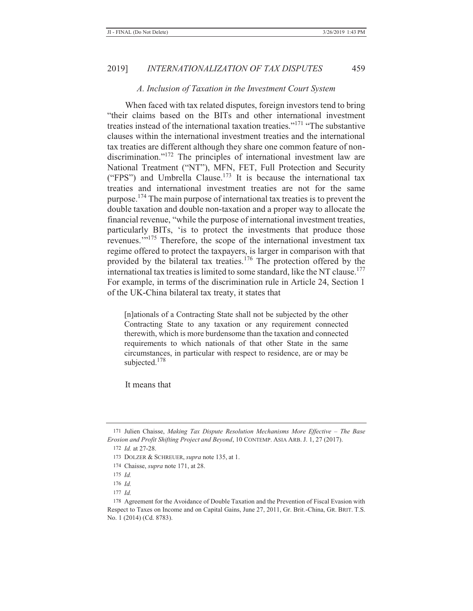#### *A. Inclusion of Taxation in the Investment Court System*

When faced with tax related disputes, foreign investors tend to bring "their claims based on the BITs and other international investment treaties instead of the international taxation treaties."<sup>171</sup> "The substantive clauses within the international investment treaties and the international tax treaties are different although they share one common feature of nondiscrimination."<sup>172</sup> The principles of international investment law are National Treatment ("NT"), MFN, FET, Full Protection and Security ("FPS") and Umbrella Clause.<sup>173</sup> It is because the international tax treaties and international investment treaties are not for the same purpose.174 The main purpose of international tax treaties is to prevent the double taxation and double non-taxation and a proper way to allocate the financial revenue, "while the purpose of international investment treaties, particularly BITs, 'is to protect the investments that produce those revenues.'"175 Therefore, the scope of the international investment tax regime offered to protect the taxpayers, is larger in comparison with that provided by the bilateral tax treaties.176 The protection offered by the international tax treaties is limited to some standard, like the NT clause.<sup>177</sup> For example, in terms of the discrimination rule in Article 24, Section 1 of the UK-China bilateral tax treaty, it states that

[n]ationals of a Contracting State shall not be subjected by the other Contracting State to any taxation or any requirement connected therewith, which is more burdensome than the taxation and connected requirements to which nationals of that other State in the same circumstances, in particular with respect to residence, are or may be subjected.<sup>178</sup>

It means that

<sup>171</sup> Julien Chaisse, *Making Tax Dispute Resolution Mechanisms More Effective - The Base Erosion and Profit Shifting Project and Beyond*, 10 CONTEMP. ASIA ARB. J. 1, 27 (2017).

<sup>172</sup> *Id.* at 27-28.

<sup>173</sup> DOLZER & SCHREUER, *supra* note 135, at 1.

<sup>174</sup> Chaisse, *supra* note 171, at 28.

<sup>175</sup> *Id.*

<sup>176</sup> *Id.*

<sup>177</sup> *Id.*

<sup>178</sup> Agreement for the Avoidance of Double Taxation and the Prevention of Fiscal Evasion with Respect to Taxes on Income and on Capital Gains, June 27, 2011, Gr. Brit.-China, GR. BRIT. T.S. No. 1 (2014) (Cd. 8783).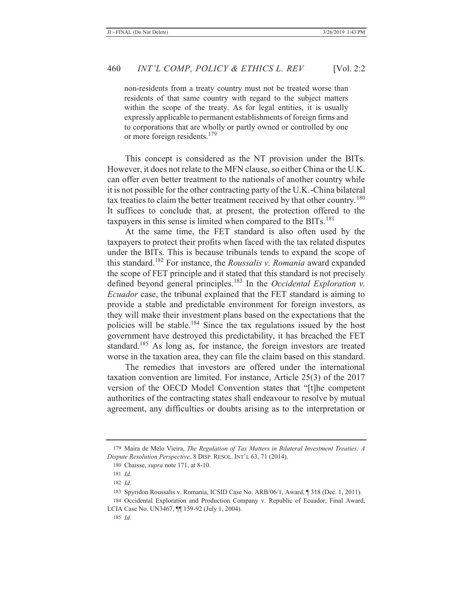non-residents from a treaty country must not be treated worse than residents of that same country with regard to the subject matters within the scope of the treaty. As for legal entities, it is usually expressly applicable to permanent establishments of foreign firms and to corporations that are wholly or partly owned or controlled by one or more foreign residents.<sup>179</sup>

This concept is considered as the NT provision under the BITs. However, it does not relate to the MFN clause, so either China or the U.K. can offer even better treatment to the nationals of another country while it is not possible for the other contracting party of the U.K.-China bilateral tax treaties to claim the better treatment received by that other country.<sup>180</sup> It suffices to conclude that, at present, the protection offered to the taxpayers in this sense is limited when compared to the  $BITs$ <sup>181</sup>

At the same time, the FET standard is also often used by the taxpayers to protect their profits when faced with the tax related disputes under the BITs. This is because tribunals tends to expand the scope of this standard.182 For instance, the *Roussalis v. Romania* award expanded the scope of FET principle and it stated that this standard is not precisely defined beyond general principles.183 In the *Occidental Exploration v. Ecuador* case, the tribunal explained that the FET standard is aiming to provide a stable and predictable environment for foreign investors, as they will make their investment plans based on the expectations that the policies will be stable.184 Since the tax regulations issued by the host government have destroyed this predictability, it has breached the FET standard.<sup>185</sup> As long as, for instance, the foreign investors are treated worse in the taxation area, they can file the claim based on this standard.

The remedies that investors are offered under the international taxation convention are limited. For instance, Article 25(3) of the 2017 version of the OECD Model Convention states that "[t]he competent authorities of the contracting states shall endeavour to resolve by mutual agreement, any difficulties or doubts arising as to the interpretation or

<sup>179</sup> Maira de Melo Vieira, *The Regulation of Tax Matters in Bilateral Investment Treaties: A Dispute Resolution Perspective*, 8 DISP. RESOL. INT'L 63, 71 (2014).

<sup>180</sup> Chaisse, *supra* note 171, at 8-10.

<sup>181</sup> *Id.*

<sup>182</sup> *Id*.

<sup>183</sup> Spyridon Roussalis v. Romania, ICSID Case No. ARB/06/1, Award, ¶ 318 (Dec. 1, 2011).

<sup>184</sup> Occidental Exploration and Production Company v. Republic of Ecuador, Final Award, LCIA Case No. UN3467, ¶¶ 159-92 (July 1, 2004).

<sup>185</sup> *Id.*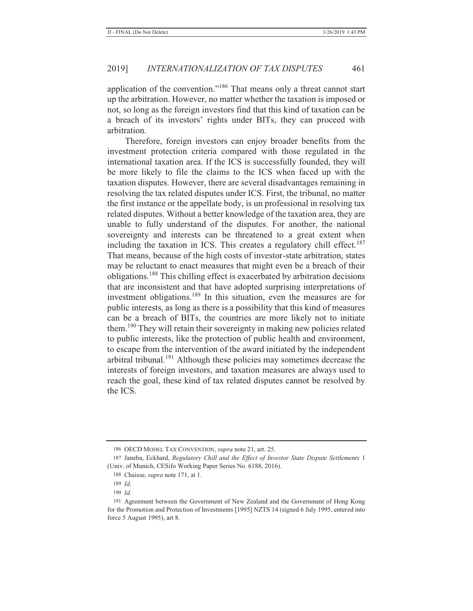application of the convention."186 That means only a threat cannot start up the arbitration. However, no matter whether the taxation is imposed or not, so long as the foreign investors find that this kind of taxation can be a breach of its investors' rights under BITs, they can proceed with arbitration.

Therefore, foreign investors can enjoy broader benefits from the investment protection criteria compared with those regulated in the international taxation area. If the ICS is successfully founded, they will be more likely to file the claims to the ICS when faced up with the taxation disputes. However, there are several disadvantages remaining in resolving the tax related disputes under ICS. First, the tribunal, no matter the first instance or the appellate body, is un professional in resolving tax related disputes. Without a better knowledge of the taxation area, they are unable to fully understand of the disputes. For another, the national sovereignty and interests can be threatened to a great extent when including the taxation in ICS. This creates a regulatory chill effect.<sup>187</sup> That means, because of the high costs of investor-state arbitration, states may be reluctant to enact measures that might even be a breach of their obligations.188 This chilling effect is exacerbated by arbitration decisions that are inconsistent and that have adopted surprising interpretations of investment obligations.<sup>189</sup> In this situation, even the measures are for public interests, as long as there is a possibility that this kind of measures can be a breach of BITs, the countries are more likely not to initiate them.190 They will retain their sovereignty in making new policies related to public interests, like the protection of public health and environment, to escape from the intervention of the award initiated by the independent arbitral tribunal.191 Although these policies may sometimes decrease the interests of foreign investors, and taxation measures are always used to reach the goal, these kind of tax related disputes cannot be resolved by the ICS.

<sup>186</sup> OECD MODEL TAX CONVENTION, *supra* note 21, art. 25.

<sup>187</sup> Janeba, Eckhard, *Regulatory Chill and the Effect of Investor State Dispute Settlements* 1 (Univ. of Munich, CESifo Working Paper Series No. 6188, 2016).

<sup>188</sup> Chaisse, *supra* note 171, at 1.

<sup>189</sup> *Id*.

<sup>190</sup> *Id*.

<sup>191</sup> Agreement between the Government of New Zealand and the Government of Hong Kong for the Promotion and Protection of Investments [1995] NZTS 14 (signed 6 July 1995, entered into force 5 August 1995), art 8.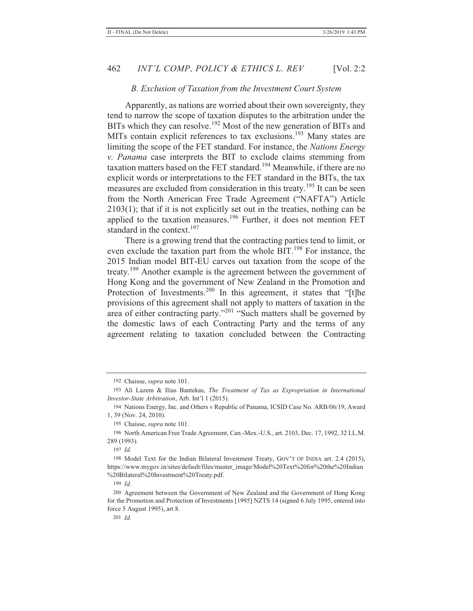#### *B. Exclusion of Taxation from the Investment Court System*

Apparently, as nations are worried about their own sovereignty, they tend to narrow the scope of taxation disputes to the arbitration under the BITs which they can resolve.<sup>192</sup> Most of the new generation of BITs and MITs contain explicit references to tax exclusions.<sup>193</sup> Many states are limiting the scope of the FET standard. For instance, the *Nations Energy v. Panama* case interprets the BIT to exclude claims stemming from taxation matters based on the FET standard.<sup>194</sup> Meanwhile, if there are no explicit words or interpretations to the FET standard in the BITs, the tax measures are excluded from consideration in this treaty.195 It can be seen from the North American Free Trade Agreement ("NAFTA") Article 2103(1); that if it is not explicitly set out in the treaties, nothing can be applied to the taxation measures.<sup>196</sup> Further, it does not mention FET standard in the context.<sup>197</sup>

There is a growing trend that the contracting parties tend to limit, or even exclude the taxation part from the whole BIT.<sup>198</sup> For instance, the 2015 Indian model BIT-EU carves out taxation from the scope of the treaty.<sup>199</sup> Another example is the agreement between the government of Hong Kong and the government of New Zealand in the Promotion and Protection of Investments.<sup>200</sup> In this agreement, it states that "[t]he provisions of this agreement shall not apply to matters of taxation in the area of either contracting party."<sup>201</sup> "Such matters shall be governed by the domestic laws of each Contracting Party and the terms of any agreement relating to taxation concluded between the Contracting

<sup>192</sup> Chaisse, *supra* note 101.

<sup>193</sup> Ali Lazem & Ilias Bantekas, *The Treatment of Tax as Expropriation in International Investor-State Arbitration*, Arb. Int'l 1 (2015).

<sup>194</sup> Nations Energy, Inc. and Others v Republic of Panama, ICSID Case No. ARB/06/19, Award 1, 39 (Nov. 24, 2010).

<sup>195</sup> Chaisse, *supra* note 101.

<sup>196</sup> North American Free Trade Agreement, Can.-Mex.-U.S., art. 2103, Dec. 17, 1992, 32 I.L.M. 289 (1993).

<sup>197</sup> *Id.*

<sup>198</sup> Model Text for the Indian Bilateral Investment Treaty, GOV'T OF INDIA art. 2.4 (2015), https://www.mygov.in/sites/default/files/master\_image/Model%20Text%20for%20the%20Indian %20Bilateral%20Investment%20Treaty.pdf.

<sup>199</sup> *Id.* 

<sup>200</sup> Agreement between the Government of New Zealand and the Government of Hong Kong for the Promotion and Protection of Investments [1995] NZTS 14 (signed 6 July 1995, entered into force 5 August 1995), art 8.

<sup>201</sup> *Id.*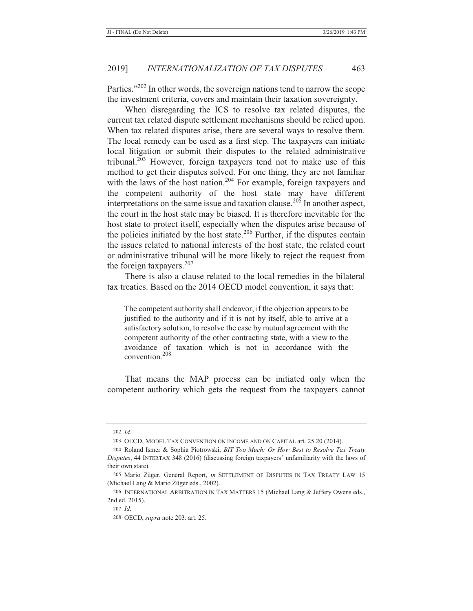Parties."<sup>202</sup> In other words, the sovereign nations tend to narrow the scope the investment criteria, covers and maintain their taxation sovereignty.

When disregarding the ICS to resolve tax related disputes, the current tax related dispute settlement mechanisms should be relied upon. When tax related disputes arise, there are several ways to resolve them. The local remedy can be used as a first step. The taxpayers can initiate local litigation or submit their disputes to the related administrative tribunal.<sup>203</sup> However, foreign taxpayers tend not to make use of this method to get their disputes solved. For one thing, they are not familiar with the laws of the host nation.<sup>204</sup> For example, foreign taxpayers and the competent authority of the host state may have different interpretations on the same issue and taxation clause.<sup>205</sup> In another aspect, the court in the host state may be biased. It is therefore inevitable for the host state to protect itself, especially when the disputes arise because of the policies initiated by the host state. $206$  Further, if the disputes contain the issues related to national interests of the host state, the related court or administrative tribunal will be more likely to reject the request from the foreign taxpayers.<sup>207</sup>

There is also a clause related to the local remedies in the bilateral tax treaties. Based on the 2014 OECD model convention, it says that:

The competent authority shall endeavor, if the objection appears to be justified to the authority and if it is not by itself, able to arrive at a satisfactory solution, to resolve the case by mutual agreement with the competent authority of the other contracting state, with a view to the avoidance of taxation which is not in accordance with the convention.<sup>208</sup>

That means the MAP process can be initiated only when the competent authority which gets the request from the taxpayers cannot

<sup>202</sup> *Id*.

<sup>203</sup> OECD, MODEL TAX CONVENTION ON INCOME AND ON CAPITAL art. 25.20 (2014).

<sup>204</sup> Roland Ismer & Sophia Piotrowski, *BIT Too Much: Or How Best to Resolve Tax Treaty Disputes*, 44 INTERTAX 348 (2016) (discussing foreign taxpayers' unfamiliarity with the laws of their own state).

<sup>205</sup> Mario Züger, General Report, *in* SETTLEMENT OF DISPUTES IN TAX TREATY LAW 15 (Michael Lang & Mario Züger eds., 2002).

<sup>206</sup> INTERNATIONAL ARBITRATION IN TAX MATTERS 15 (Michael Lang & Jeffery Owens eds., 2nd ed. 2015).

<sup>207</sup> *Id*.

<sup>208</sup> OECD, *supra* note 203*,* art. 25.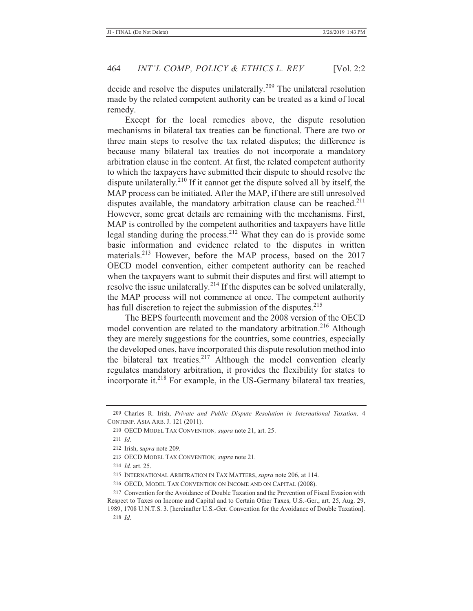decide and resolve the disputes unilaterally.<sup>209</sup> The unilateral resolution made by the related competent authority can be treated as a kind of local remedy.

Except for the local remedies above, the dispute resolution mechanisms in bilateral tax treaties can be functional. There are two or three main steps to resolve the tax related disputes; the difference is because many bilateral tax treaties do not incorporate a mandatory arbitration clause in the content. At first, the related competent authority to which the taxpayers have submitted their dispute to should resolve the dispute unilaterally.<sup>210</sup> If it cannot get the dispute solved all by itself, the MAP process can be initiated. After the MAP, if there are still unresolved disputes available, the mandatory arbitration clause can be reached. $211$ However, some great details are remaining with the mechanisms. First, MAP is controlled by the competent authorities and taxpayers have little legal standing during the process.212 What they can do is provide some basic information and evidence related to the disputes in written materials.<sup>213</sup> However, before the MAP process, based on the 2017 OECD model convention, either competent authority can be reached when the taxpayers want to submit their disputes and first will attempt to resolve the issue unilaterally.<sup>214</sup> If the disputes can be solved unilaterally, the MAP process will not commence at once. The competent authority has full discretion to reject the submission of the disputes.<sup>215</sup>

The BEPS fourteenth movement and the 2008 version of the OECD model convention are related to the mandatory arbitration.<sup>216</sup> Although they are merely suggestions for the countries, some countries, especially the developed ones, have incorporated this dispute resolution method into the bilateral tax treaties. $2^{17}$  Although the model convention clearly regulates mandatory arbitration, it provides the flexibility for states to incorporate it. $2^{18}$  For example, in the US-Germany bilateral tax treaties,

<sup>209</sup> Charles R. Irish, *Private and Public Dispute Resolution in International Taxation,* 4 CONTEMP. ASIA ARB. J. 121 (2011).

<sup>210</sup> OECD MODEL TAX CONVENTION*, supra* note 21, art. 25.

<sup>211</sup> *Id*.

<sup>212</sup> Irish, s*upra* note 209.

<sup>213</sup> OECD MODEL TAX CONVENTION*, supra* note 21.

<sup>214</sup> *Id.* art. 25.

<sup>215</sup> INTERNATIONAL ARBITRATION IN TAX MATTERS, *supra* note 206, at 114.

<sup>216</sup> OECD, MODEL TAX CONVENTION ON INCOME AND ON CAPITAL (2008).

<sup>217</sup> Convention for the Avoidance of Double Taxation and the Prevention of Fiscal Evasion with Respect to Taxes on Income and Capital and to Certain Other Taxes, U.S.-Ger., art. 25, Aug. 29,

<sup>1989, 1708</sup> U.N.T.S. 3. [hereinafter U.S.-Ger. Convention for the Avoidance of Double Taxation]. 218 *Id.*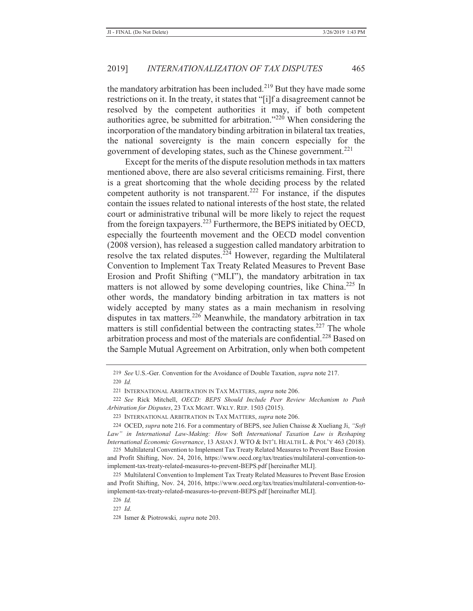the mandatory arbitration has been included.<sup>219</sup> But they have made some restrictions on it. In the treaty, it states that "[i]f a disagreement cannot be resolved by the competent authorities it may, if both competent authorities agree, be submitted for arbitration."<sup>220</sup> When considering the incorporation of the mandatory binding arbitration in bilateral tax treaties, the national sovereignty is the main concern especially for the government of developing states, such as the Chinese government.<sup>221</sup>

Except for the merits of the dispute resolution methods in tax matters mentioned above, there are also several criticisms remaining. First, there is a great shortcoming that the whole deciding process by the related competent authority is not transparent.<sup>222</sup> For instance, if the disputes contain the issues related to national interests of the host state, the related court or administrative tribunal will be more likely to reject the request from the foreign taxpayers.223 Furthermore, the BEPS initiated by OECD, especially the fourteenth movement and the OECD model convention (2008 version), has released a suggestion called mandatory arbitration to resolve the tax related disputes.<sup> $224$ </sup> However, regarding the Multilateral Convention to Implement Tax Treaty Related Measures to Prevent Base Erosion and Profit Shifting ("MLI"), the mandatory arbitration in tax matters is not allowed by some developing countries, like China.<sup>225</sup> In other words, the mandatory binding arbitration in tax matters is not widely accepted by many states as a main mechanism in resolving disputes in tax matters.<sup>226</sup> Meanwhile, the mandatory arbitration in tax matters is still confidential between the contracting states.<sup>227</sup> The whole arbitration process and most of the materials are confidential.<sup>228</sup> Based on the Sample Mutual Agreement on Arbitration, only when both competent

225 Multilateral Convention to Implement Tax Treaty Related Measures to Prevent Base Erosion and Profit Shifting, Nov. 24, 2016, https://www.oecd.org/tax/treaties/multilateral-convention-toimplement-tax-treaty-related-measures-to-prevent-BEPS.pdf [hereinafter MLI].

<sup>219</sup> *See* U.S.-Ger. Convention for the Avoidance of Double Taxation, *supra* note 217.

<sup>220</sup> *Id.*

<sup>221</sup> INTERNATIONAL ARBITRATION IN TAX MATTERS, *supra* note 206.

<sup>222</sup> *See* Rick Mitchell, *OECD: BEPS Should Include Peer Review Mechanism to Push Arbitration for Disputes*, 23 TAX MGMT. WKLY. REP. 1503 (2015).

<sup>223</sup> INTERNATIONAL ARBITRATION IN TAX MATTERS, *supra* note 206.

<sup>224</sup> OCED, *supra* note 216. For a commentary of BEPS, see Julien Chaisse & Xueliang Ji, *"Soft Law" in International Law-Making: How* Soft *International Taxation Law is Reshaping International Economic Governance*, 13 ASIAN J. WTO & INT'L HEALTH L. & POL'Y 463 (2018).

<sup>225</sup> Multilateral Convention to Implement Tax Treaty Related Measures to Prevent Base Erosion and Profit Shifting, Nov. 24, 2016, https://www.oecd.org/tax/treaties/multilateral-convention-toimplement-tax-treaty-related-measures-to-prevent-BEPS.pdf [hereinafter MLI].

<sup>226</sup> *Id.*

<sup>227</sup> *Id*.

<sup>228</sup> Ismer & Piotrowski*, supra* note 203.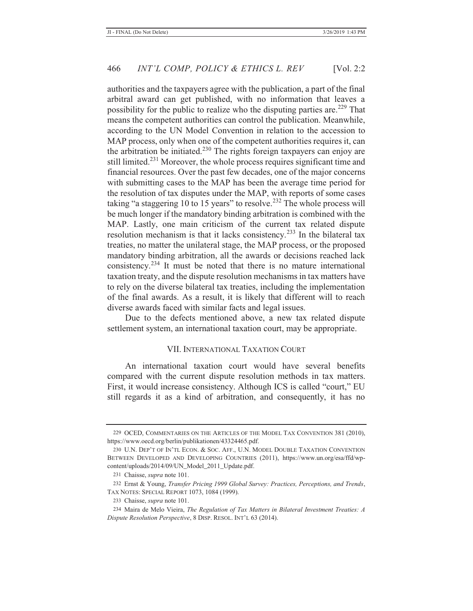authorities and the taxpayers agree with the publication, a part of the final arbitral award can get published, with no information that leaves a possibility for the public to realize who the disputing parties are.<sup>229</sup> That means the competent authorities can control the publication. Meanwhile, according to the UN Model Convention in relation to the accession to MAP process, only when one of the competent authorities requires it, can the arbitration be initiated.<sup>230</sup> The rights foreign taxpayers can enjoy are still limited.231 Moreover, the whole process requires significant time and financial resources. Over the past few decades, one of the major concerns with submitting cases to the MAP has been the average time period for the resolution of tax disputes under the MAP, with reports of some cases taking "a staggering 10 to 15 years" to resolve.<sup>232</sup> The whole process will be much longer if the mandatory binding arbitration is combined with the MAP. Lastly, one main criticism of the current tax related dispute resolution mechanism is that it lacks consistency.233 In the bilateral tax treaties, no matter the unilateral stage, the MAP process, or the proposed mandatory binding arbitration, all the awards or decisions reached lack consistency.234 It must be noted that there is no mature international taxation treaty, and the dispute resolution mechanisms in tax matters have to rely on the diverse bilateral tax treaties, including the implementation of the final awards. As a result, it is likely that different will to reach diverse awards faced with similar facts and legal issues.

Due to the defects mentioned above, a new tax related dispute settlement system, an international taxation court, may be appropriate.

#### VII. INTERNATIONAL TAXATION COURT

An international taxation court would have several benefits compared with the current dispute resolution methods in tax matters. First, it would increase consistency. Although ICS is called "court," EU still regards it as a kind of arbitration, and consequently, it has no

<sup>229</sup> OCED, COMMENTARIES ON THE ARTICLES OF THE MODEL TAX CONVENTION 381 (2010), https://www.oecd.org/berlin/publikationen/43324465.pdf.

<sup>230</sup> U.N. DEP'T OF IN'TL ECON. & SOC. AFF., U.N. MODEL DOUBLE TAXATION CONVENTION BETWEEN DEVELOPED AND DEVELOPING COUNTRIES (2011), https://www.un.org/esa/ffd/wpcontent/uploads/2014/09/UN\_Model\_2011\_Update.pdf.

<sup>231</sup> Chaisse, *supra* note 101.

<sup>232</sup> Ernst & Young, *Transfer Pricing 1999 Global Survey: Practices, Perceptions, and Trends*, TAX NOTES: SPECIAL REPORT 1073, 1084 (1999).

<sup>233</sup> Chaisse, *supra* note 101.

<sup>234</sup> Maira de Melo Vieira, *The Regulation of Tax Matters in Bilateral Investment Treaties: A Dispute Resolution Perspective*, 8 DISP. RESOL. INT'L 63 (2014).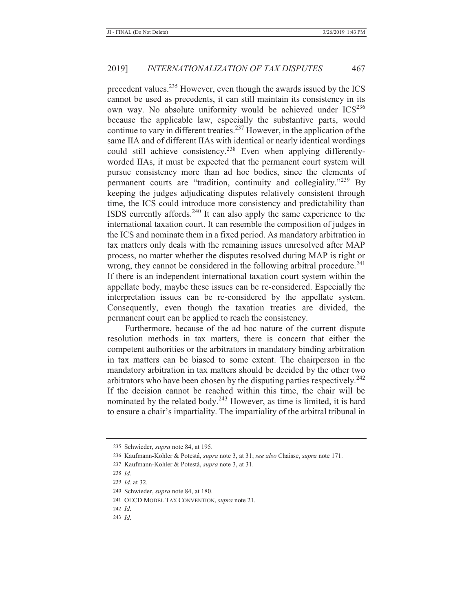precedent values.235 However, even though the awards issued by the ICS cannot be used as precedents, it can still maintain its consistency in its own way. No absolute uniformity would be achieved under ICS<sup>236</sup> because the applicable law, especially the substantive parts, would continue to vary in different treaties.<sup>237</sup> However, in the application of the same IIA and of different IIAs with identical or nearly identical wordings could still achieve consistency.<sup>238</sup> Even when applying differentlyworded IIAs, it must be expected that the permanent court system will pursue consistency more than ad hoc bodies, since the elements of permanent courts are "tradition, continuity and collegiality."239 By keeping the judges adjudicating disputes relatively consistent through time, the ICS could introduce more consistency and predictability than ISDS currently affords. $240$  It can also apply the same experience to the international taxation court. It can resemble the composition of judges in the ICS and nominate them in a fixed period. As mandatory arbitration in tax matters only deals with the remaining issues unresolved after MAP process, no matter whether the disputes resolved during MAP is right or wrong, they cannot be considered in the following arbitral procedure.<sup>241</sup> If there is an independent international taxation court system within the appellate body, maybe these issues can be re-considered. Especially the interpretation issues can be re-considered by the appellate system. Consequently, even though the taxation treaties are divided, the permanent court can be applied to reach the consistency.

Furthermore, because of the ad hoc nature of the current dispute resolution methods in tax matters, there is concern that either the competent authorities or the arbitrators in mandatory binding arbitration in tax matters can be biased to some extent. The chairperson in the mandatory arbitration in tax matters should be decided by the other two arbitrators who have been chosen by the disputing parties respectively.<sup>242</sup> If the decision cannot be reached within this time, the chair will be nominated by the related body.<sup>243</sup> However, as time is limited, it is hard to ensure a chair's impartiality. The impartiality of the arbitral tribunal in

<sup>235</sup> Schwieder, *supra* note 84, at 195.

<sup>236</sup> Kaufmann-Kohler & Potestá, *supra* note 3, at 31; *see also* Chaisse, *supra* note 171.

<sup>237</sup> Kaufmann-Kohler & Potestá, *supra* note 3, at 31.

<sup>238</sup> *Id.*

<sup>239</sup> *Id.* at 32.

<sup>240</sup> Schwieder, *supra* note 84, at 180.

<sup>241</sup> OECD MODEL TAX CONVENTION, *supra* note 21.

<sup>242</sup> *Id*.

<sup>243</sup> *Id*.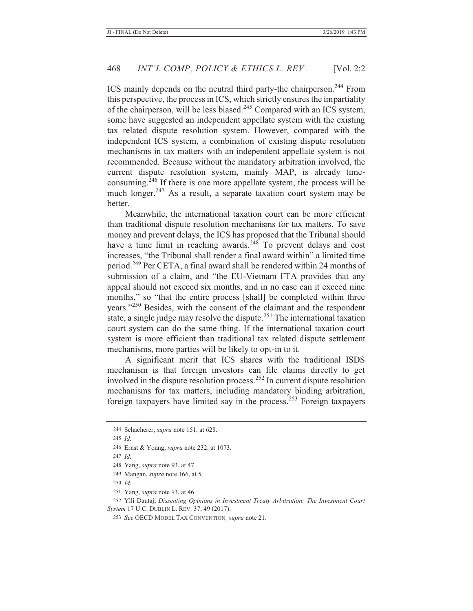ICS mainly depends on the neutral third party-the chairperson.<sup>244</sup> From this perspective, the process in ICS, which strictly ensures the impartiality of the chairperson, will be less biased.<sup>245</sup> Compared with an ICS system, some have suggested an independent appellate system with the existing tax related dispute resolution system. However, compared with the independent ICS system, a combination of existing dispute resolution mechanisms in tax matters with an independent appellate system is not recommended. Because without the mandatory arbitration involved, the current dispute resolution system, mainly MAP, is already timeconsuming. $246$  If there is one more appellate system, the process will be much longer.<sup>247</sup> As a result, a separate taxation court system may be better.

Meanwhile, the international taxation court can be more efficient than traditional dispute resolution mechanisms for tax matters. To save money and prevent delays, the ICS has proposed that the Tribunal should have a time limit in reaching awards.<sup>248</sup> To prevent delays and cost increases, "the Tribunal shall render a final award within" a limited time period.249 Per CETA, a final award shall be rendered within 24 months of submission of a claim, and "the EU-Vietnam FTA provides that any appeal should not exceed six months, and in no case can it exceed nine months," so "that the entire process [shall] be completed within three years."250 Besides, with the consent of the claimant and the respondent state, a single judge may resolve the dispute.<sup>251</sup> The international taxation court system can do the same thing. If the international taxation court system is more efficient than traditional tax related dispute settlement mechanisms, more parties will be likely to opt-in to it.

A significant merit that ICS shares with the traditional ISDS mechanism is that foreign investors can file claims directly to get involved in the dispute resolution process.<sup>252</sup> In current dispute resolution mechanisms for tax matters, including mandatory binding arbitration, foreign taxpayers have limited say in the process.253 Foreign taxpayers

251 Yang, *supra* note 93, at 46.

252 Ylli Dautaj, *Dissenting Opinions in Investment Treaty Arbitration: The Investment Court System* 17 U.C. DUBLIN L. REV. 37, 49 (2017).

<sup>244</sup> Schacherer, *supra* note 151, at 628.

<sup>245</sup> *Id*.

<sup>246</sup> Ernst & Young, *supra* note 232, at 1073.

<sup>247</sup> *Id*.

<sup>248</sup> Yang, *supra* note 93, at 47.

<sup>249</sup> Mangan, *supra* note 166, at 5.

<sup>250</sup> *Id.*

<sup>253</sup> *See* OECD MODEL TAX CONVENTION*, supra* note 21.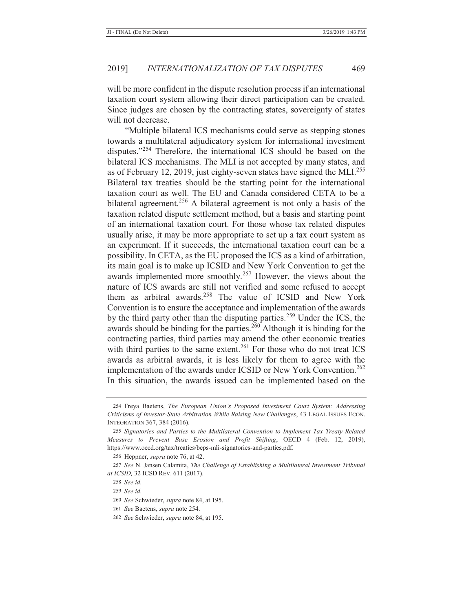will be more confident in the dispute resolution process if an international taxation court system allowing their direct participation can be created. Since judges are chosen by the contracting states, sovereignty of states will not decrease.

"Multiple bilateral ICS mechanisms could serve as stepping stones towards a multilateral adjudicatory system for international investment disputes."<sup>254</sup> Therefore, the international ICS should be based on the bilateral ICS mechanisms. The MLI is not accepted by many states, and as of February 12, 2019, just eighty-seven states have signed the MLI.<sup>255</sup> Bilateral tax treaties should be the starting point for the international taxation court as well. The EU and Canada considered CETA to be a bilateral agreement.<sup>256</sup> A bilateral agreement is not only a basis of the taxation related dispute settlement method, but a basis and starting point of an international taxation court. For those whose tax related disputes usually arise, it may be more appropriate to set up a tax court system as an experiment. If it succeeds, the international taxation court can be a possibility. In CETA, as the EU proposed the ICS as a kind of arbitration, its main goal is to make up ICSID and New York Convention to get the awards implemented more smoothly.<sup>257</sup> However, the views about the nature of ICS awards are still not verified and some refused to accept them as arbitral awards.<sup>258</sup> The value of ICSID and New York Convention is to ensure the acceptance and implementation of the awards by the third party other than the disputing parties.<sup>259</sup> Under the ICS, the awards should be binding for the parties.<sup>260</sup> Although it is binding for the contracting parties, third parties may amend the other economic treaties with third parties to the same extent.<sup>261</sup> For those who do not treat ICS awards as arbitral awards, it is less likely for them to agree with the implementation of the awards under ICSID or New York Convention.<sup>262</sup> In this situation, the awards issued can be implemented based on the

<sup>254</sup> Freya Baetens, *The European Union's Proposed Investment Court System: Addressing Criticisms of Investor-State Arbitration While Raising New Challenges*, 43 LEGAL ISSUES ECON. INTEGRATION 367, 384 (2016).

<sup>255</sup> *Signatories and Parties to the Multilateral Convention to Implement Tax Treaty Related Measures to Prevent Base Erosion and Profit Shifting*, OECD 4 (Feb. 12, 2019), https://www.oecd.org/tax/treaties/beps-mli-signatories-and-parties.pdf.

<sup>256</sup> Heppner, *supra* note 76, at 42.

<sup>257</sup> *See* N. Jansen Calamita, *The Challenge of Establishing a Multilateral Investment Tribunal at ICSID,* 32 ICSD REV. 611 (2017).

<sup>258</sup> *See id.*

<sup>259</sup> *See id.*

<sup>260</sup> *See* Schwieder, *supra* note 84, at 195.

<sup>261</sup> *See* Baetens, *supra* note 254.

<sup>262</sup> *See* Schwieder, *supra* note 84, at 195.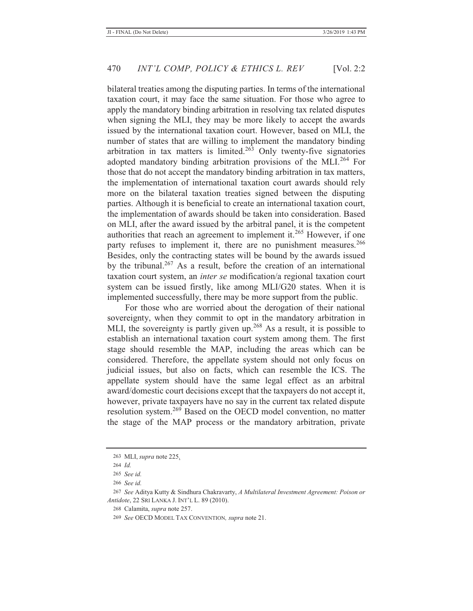bilateral treaties among the disputing parties. In terms of the international taxation court, it may face the same situation. For those who agree to apply the mandatory binding arbitration in resolving tax related disputes when signing the MLI, they may be more likely to accept the awards issued by the international taxation court. However, based on MLI, the number of states that are willing to implement the mandatory binding arbitration in tax matters is limited.<sup>263</sup> Only twenty-five signatories adopted mandatory binding arbitration provisions of the MLI.<sup>264</sup> For those that do not accept the mandatory binding arbitration in tax matters, the implementation of international taxation court awards should rely more on the bilateral taxation treaties signed between the disputing parties. Although it is beneficial to create an international taxation court, the implementation of awards should be taken into consideration. Based on MLI, after the award issued by the arbitral panel, it is the competent authorities that reach an agreement to implement it.265 However, if one party refuses to implement it, there are no punishment measures.<sup>266</sup> Besides, only the contracting states will be bound by the awards issued by the tribunal.<sup>267</sup> As a result, before the creation of an international taxation court system, an *inter se* modification/a regional taxation court system can be issued firstly, like among MLI/G20 states. When it is implemented successfully, there may be more support from the public.

For those who are worried about the derogation of their national sovereignty, when they commit to opt in the mandatory arbitration in MLI, the sovereignty is partly given up.<sup>268</sup> As a result, it is possible to establish an international taxation court system among them. The first stage should resemble the MAP, including the areas which can be considered. Therefore, the appellate system should not only focus on judicial issues, but also on facts, which can resemble the ICS. The appellate system should have the same legal effect as an arbitral award/domestic court decisions except that the taxpayers do not accept it, however, private taxpayers have no say in the current tax related dispute resolution system.269 Based on the OECD model convention, no matter the stage of the MAP process or the mandatory arbitration, private

<sup>263</sup> MLI, *supra* note 225.

<sup>264</sup> *Id.*

<sup>265</sup> *See id.*

<sup>266</sup> *See id.*

<sup>267</sup> *See* Aditya Kutty & Sindhura Chakravarty, *A Multilateral Investment Agreement: Poison or Antidote*, 22 SRI LANKA J. INT'L L. 89 (2010).

<sup>268</sup> Calamita, *supra* note 257.

<sup>269</sup> *See* OECD MODEL TAX CONVENTION*, supra* note 21.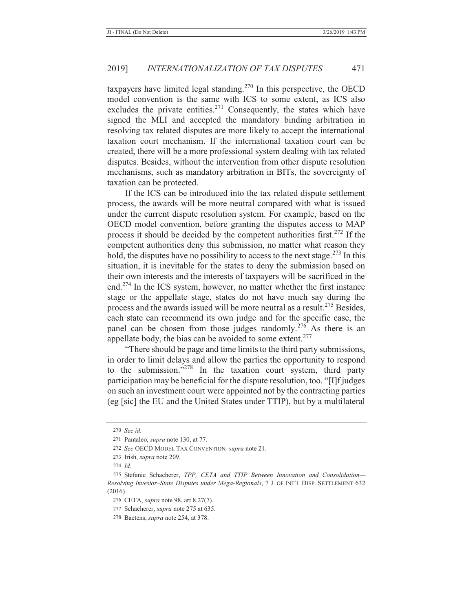taxpayers have limited legal standing.<sup>270</sup> In this perspective, the OECD model convention is the same with ICS to some extent, as ICS also excludes the private entities.<sup>271</sup> Consequently, the states which have signed the MLI and accepted the mandatory binding arbitration in resolving tax related disputes are more likely to accept the international taxation court mechanism. If the international taxation court can be created, there will be a more professional system dealing with tax related disputes. Besides, without the intervention from other dispute resolution mechanisms, such as mandatory arbitration in BITs, the sovereignty of taxation can be protected.

If the ICS can be introduced into the tax related dispute settlement process, the awards will be more neutral compared with what is issued under the current dispute resolution system. For example, based on the OECD model convention, before granting the disputes access to MAP process it should be decided by the competent authorities first.<sup>272</sup> If the competent authorities deny this submission, no matter what reason they hold, the disputes have no possibility to access to the next stage.<sup>273</sup> In this situation, it is inevitable for the states to deny the submission based on their own interests and the interests of taxpayers will be sacrificed in the end.274 In the ICS system, however, no matter whether the first instance stage or the appellate stage, states do not have much say during the process and the awards issued will be more neutral as a result.<sup>275</sup> Besides, each state can recommend its own judge and for the specific case, the panel can be chosen from those judges randomly.<sup>276</sup> As there is an appellate body, the bias can be avoided to some extent.<sup>277</sup>

"There should be page and time limits to the third party submissions, in order to limit delays and allow the parties the opportunity to respond to the submission."278 In the taxation court system, third party participation may be beneficial for the dispute resolution, too. "[I]f judges on such an investment court were appointed not by the contracting parties (eg [sic] the EU and the United States under TTIP), but by a multilateral

<sup>270</sup> *See id.*

<sup>271</sup> Pantaleo, *supra* note 130, at 77.

<sup>272</sup> *See* OECD MODEL TAX CONVENTION*, supra* note 21.

<sup>273</sup> Irish, *supra* note 209.

<sup>274</sup> *Id.*

<sup>275</sup> Stefanie Schacherer, *TPP, CETA and TTIP Between Innovation and Consolidation— Resolving Investor–State Disputes under Mega-Regionals*, 7 J. OF INT'L DISP. SETTLEMENT 632 (2016).

<sup>276</sup> CETA, *supra* note 98, art 8.27(7).

<sup>277</sup> Schacherer, *supra* note 275 at 635.

<sup>278</sup> Baetens, *supra* note 254, at 378.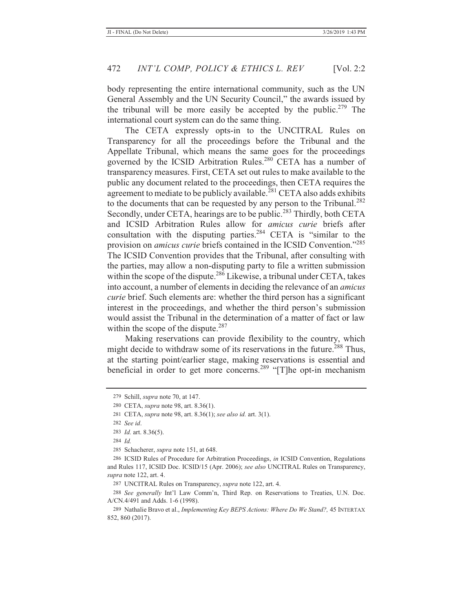body representing the entire international community, such as the UN General Assembly and the UN Security Council," the awards issued by the tribunal will be more easily be accepted by the public.<sup>279</sup> The international court system can do the same thing.

The CETA expressly opts-in to the UNCITRAL Rules on Transparency for all the proceedings before the Tribunal and the Appellate Tribunal, which means the same goes for the proceedings governed by the ICSID Arbitration Rules.<sup>280</sup> CETA has a number of transparency measures. First, CETA set out rules to make available to the public any document related to the proceedings, then CETA requires the agreement to mediate to be publicly available.<sup>281</sup> CETA also adds exhibits to the documents that can be requested by any person to the Tribunal.<sup>282</sup> Secondly, under CETA, hearings are to be public.<sup>283</sup> Thirdly, both CETA and ICSID Arbitration Rules allow for *amicus curie* briefs after consultation with the disputing parties.284 CETA is "similar to the provision on *amicus curie* briefs contained in the ICSID Convention."<sup>285</sup> The ICSID Convention provides that the Tribunal, after consulting with the parties, may allow a non-disputing party to file a written submission within the scope of the dispute.<sup>286</sup> Likewise, a tribunal under CETA, takes into account, a number of elements in deciding the relevance of an *amicus curie* brief. Such elements are: whether the third person has a significant interest in the proceedings, and whether the third person's submission would assist the Tribunal in the determination of a matter of fact or law within the scope of the dispute. $287$ 

Making reservations can provide flexibility to the country, which might decide to withdraw some of its reservations in the future.<sup>288</sup> Thus, at the starting point/earlier stage, making reservations is essential and beneficial in order to get more concerns.<sup>289</sup> "[T]he opt-in mechanism

<sup>279</sup> Schill, *supra* note 70, at 147.

<sup>280</sup> CETA, *supra* note 98, art. 8.36(1).

<sup>281</sup> CETA, *supra* note 98, art. 8.36(1); *see also id.* art. 3(1).

<sup>282</sup> *See id*.

<sup>283</sup> *Id.* art. 8.36(5).

<sup>284</sup> *Id.*

<sup>285</sup> Schacherer, *supra* note 151, at 648.

<sup>286</sup> ICSID Rules of Procedure for Arbitration Proceedings, *in* ICSID Convention, Regulations and Rules 117, ICSID Doc. ICSID/15 (Apr. 2006); *see also* UNCITRAL Rules on Transparency, *supra* note 122, art. 4.

<sup>287</sup> UNCITRAL Rules on Transparency, *supra* note 122, art. 4.

<sup>288</sup> *See generally* Int'l Law Comm'n, Third Rep. on Reservations to Treaties, U.N. Doc. A/CN.4/491 and Adds. 1-6 (1998).

<sup>289</sup> Nathalie Bravo et al., *Implementing Key BEPS Actions: Where Do We Stand?,* 45 INTERTAX 852, 860 (2017).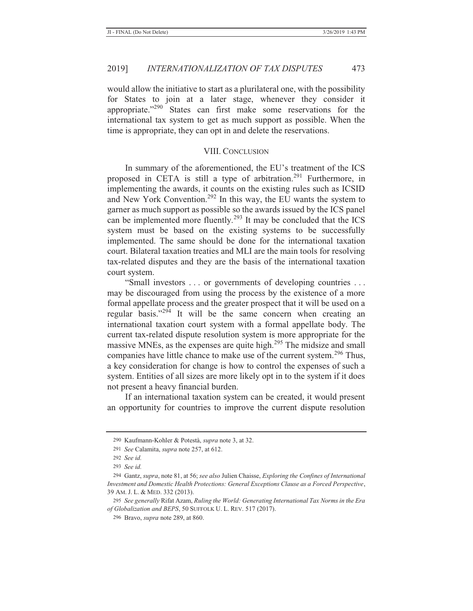would allow the initiative to start as a plurilateral one, with the possibility for States to join at a later stage, whenever they consider it appropriate."290 States can first make some reservations for the international tax system to get as much support as possible. When the time is appropriate, they can opt in and delete the reservations.

## VIII. CONCLUSION

In summary of the aforementioned, the EU's treatment of the ICS proposed in CETA is still a type of arbitration.<sup>291</sup> Furthermore, in implementing the awards, it counts on the existing rules such as ICSID and New York Convention.<sup>292</sup> In this way, the EU wants the system to garner as much support as possible so the awards issued by the ICS panel can be implemented more fluently.<sup>293</sup> It may be concluded that the ICS system must be based on the existing systems to be successfully implemented. The same should be done for the international taxation court. Bilateral taxation treaties and MLI are the main tools for resolving tax-related disputes and they are the basis of the international taxation court system.

"Small investors . . . or governments of developing countries . . . may be discouraged from using the process by the existence of a more formal appellate process and the greater prospect that it will be used on a regular basis."294 It will be the same concern when creating an international taxation court system with a formal appellate body. The current tax-related dispute resolution system is more appropriate for the massive MNEs, as the expenses are quite high.<sup>295</sup> The midsize and small companies have little chance to make use of the current system.<sup>296</sup> Thus, a key consideration for change is how to control the expenses of such a system. Entities of all sizes are more likely opt in to the system if it does not present a heavy financial burden.

If an international taxation system can be created, it would present an opportunity for countries to improve the current dispute resolution

<sup>290</sup> Kaufmann-Kohler & Potestà, *supra* note 3, at 32.

<sup>291</sup> *See* Calamita, *supra* note 257, at 612.

<sup>292</sup> *See id.*

<sup>293</sup> *See id.*

<sup>294</sup> Gantz, *supra*, note 81, at 56; *see also* Julien Chaisse, *Exploring the Confines of International Investment and Domestic Health Protections: General Exceptions Clause as a Forced Perspective*, 39 AM. J. L. & MED. 332 (2013).

<sup>295</sup> *See generally* Rifat Azam, *Ruling the World: Generating International Tax Norms in the Era of Globalization and BEPS*, 50 SUFFOLK U. L. REV. 517 (2017).

<sup>296</sup> Bravo, *supra* note 289, at 860.